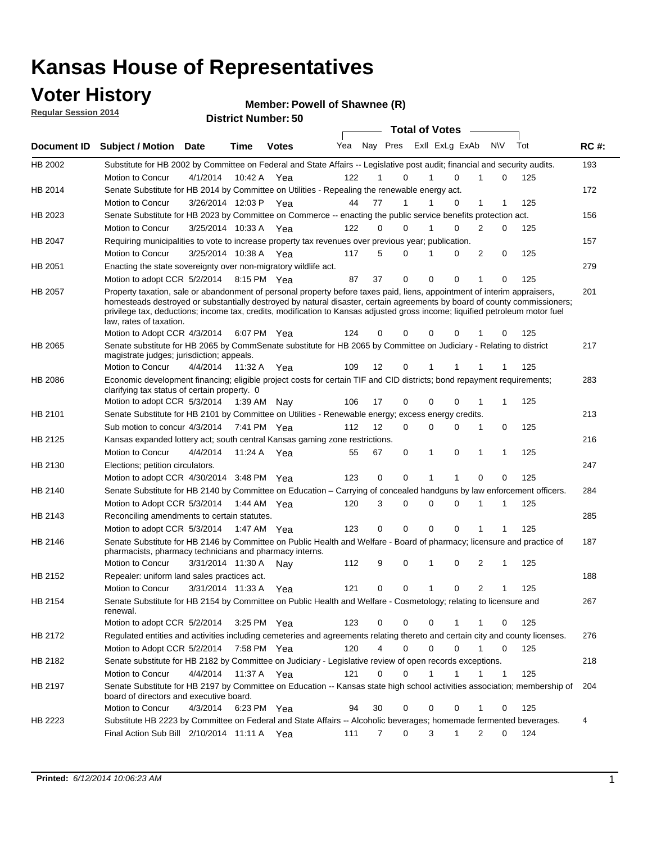### **Voter History**

**Regular Session 2014**

#### **Member: Powell of Shawnee (R)**

|             |                                                                                                                                                                                                                                                                                                                                                                                                                  |                       | IJU IVL ITUHIIVVI . |              |     |    |                  | <b>Total of Votes</b>      |          |                |              |     |             |
|-------------|------------------------------------------------------------------------------------------------------------------------------------------------------------------------------------------------------------------------------------------------------------------------------------------------------------------------------------------------------------------------------------------------------------------|-----------------------|---------------------|--------------|-----|----|------------------|----------------------------|----------|----------------|--------------|-----|-------------|
| Document ID | <b>Subject / Motion Date</b>                                                                                                                                                                                                                                                                                                                                                                                     |                       | <b>Time</b>         | <b>Votes</b> | Yea |    |                  | Nay Pres Exll ExLg ExAb    |          | N\V            |              | Tot | <b>RC#:</b> |
| HB 2002     | Substitute for HB 2002 by Committee on Federal and State Affairs -- Legislative post audit; financial and security audits.                                                                                                                                                                                                                                                                                       |                       |                     |              |     |    |                  |                            |          |                |              |     | 193         |
|             | Motion to Concur                                                                                                                                                                                                                                                                                                                                                                                                 | 4/1/2014              | 10:42 A             | Yea          | 122 | 1  | $\Omega$         | $\Omega$                   |          | 1              | 0            | 125 |             |
| HB 2014     | Senate Substitute for HB 2014 by Committee on Utilities - Repealing the renewable energy act.                                                                                                                                                                                                                                                                                                                    |                       |                     |              |     |    |                  |                            |          |                |              |     | 172         |
|             | Motion to Concur                                                                                                                                                                                                                                                                                                                                                                                                 | 3/26/2014 12:03 P Yea |                     |              | 44  | 77 | 1                | $\Omega$<br>1              |          | 1              |              | 125 |             |
| HB 2023     | Senate Substitute for HB 2023 by Committee on Commerce -- enacting the public service benefits protection act.                                                                                                                                                                                                                                                                                                   |                       |                     |              |     |    |                  |                            |          |                |              |     | 156         |
|             | Motion to Concur                                                                                                                                                                                                                                                                                                                                                                                                 | 3/25/2014 10:33 A Yea |                     |              | 122 | 0  | $\Omega$         |                            | $\Omega$ | $\overline{2}$ | $\Omega$     | 125 |             |
| HB 2047     | Requiring municipalities to vote to increase property tax revenues over previous year; publication.                                                                                                                                                                                                                                                                                                              |                       |                     |              |     |    |                  |                            |          |                |              |     | 157         |
|             | Motion to Concur                                                                                                                                                                                                                                                                                                                                                                                                 | 3/25/2014 10:38 A Yea |                     |              | 117 | 5  | $\Omega$         | 0<br>1                     |          | 2              | 0            | 125 |             |
| HB 2051     | Enacting the state sovereignty over non-migratory wildlife act.                                                                                                                                                                                                                                                                                                                                                  |                       |                     |              |     |    |                  |                            |          |                |              |     | 279         |
|             | Motion to adopt CCR 5/2/2014 8:15 PM Yea                                                                                                                                                                                                                                                                                                                                                                         |                       |                     |              | 87  | 37 | $\Omega$         | $\Omega$<br>$\Omega$       |          | 1              | 0            | 125 |             |
| HB 2057     | Property taxation, sale or abandonment of personal property before taxes paid, liens, appointment of interim appraisers,<br>homesteads destroyed or substantially destroyed by natural disaster, certain agreements by board of county commissioners;<br>privilege tax, deductions; income tax, credits, modification to Kansas adjusted gross income; liquified petroleum motor fuel<br>law, rates of taxation. |                       |                     |              |     |    |                  |                            |          |                |              |     | 201         |
|             | Motion to Adopt CCR 4/3/2014                                                                                                                                                                                                                                                                                                                                                                                     |                       |                     | 6:07 PM Yea  | 124 | 0  | $\Omega$         | 0                          | 0        |                | 0            | 125 |             |
| HB 2065     | Senate substitute for HB 2065 by CommSenate substitute for HB 2065 by Committee on Judiciary - Relating to district<br>magistrate judges; jurisdiction; appeals.                                                                                                                                                                                                                                                 |                       |                     |              |     |    |                  |                            |          |                |              |     | 217         |
|             | Motion to Concur                                                                                                                                                                                                                                                                                                                                                                                                 | 4/4/2014              | 11:32 A             | Yea          | 109 | 12 | 0                | 1<br>1                     |          |                |              | 125 |             |
| HB 2086     | Economic development financing; eligible project costs for certain TIF and CID districts; bond repayment requirements;<br>clarifying tax status of certain property. 0                                                                                                                                                                                                                                           |                       |                     |              |     |    |                  |                            |          |                |              |     | 283         |
|             | Motion to adopt CCR 5/3/2014 1:39 AM Nay                                                                                                                                                                                                                                                                                                                                                                         |                       |                     |              | 106 | 17 | 0                | $\Omega$<br>0              |          | 1              | 1            | 125 |             |
| HB 2101     | Senate Substitute for HB 2101 by Committee on Utilities - Renewable energy; excess energy credits.                                                                                                                                                                                                                                                                                                               |                       |                     |              |     |    |                  |                            |          |                |              |     | 213         |
|             | Sub motion to concur 4/3/2014                                                                                                                                                                                                                                                                                                                                                                                    |                       |                     | 7:41 PM Yea  | 112 | 12 | 0                | $\mathbf 0$<br>$\mathbf 0$ |          | 1              | 0            | 125 |             |
| HB 2125     | Kansas expanded lottery act; south central Kansas gaming zone restrictions.                                                                                                                                                                                                                                                                                                                                      |                       |                     |              |     |    |                  |                            |          |                |              |     | 216         |
|             | Motion to Concur                                                                                                                                                                                                                                                                                                                                                                                                 | 4/4/2014              | 11:24 A             | Yea          | 55  | 67 | 0                | 1<br>0                     |          | 1              | 1            | 125 |             |
| HB 2130     | Elections; petition circulators.                                                                                                                                                                                                                                                                                                                                                                                 |                       |                     |              |     |    |                  |                            |          |                |              |     | 247         |
|             | Motion to adopt CCR 4/30/2014 3:48 PM Yea                                                                                                                                                                                                                                                                                                                                                                        |                       |                     |              | 123 |    | 0<br>0           | 1<br>1                     |          | $\Omega$       | 0            | 125 |             |
| HB 2140     | Senate Substitute for HB 2140 by Committee on Education – Carrying of concealed handguns by law enforcement officers.                                                                                                                                                                                                                                                                                            |                       |                     |              |     |    |                  |                            |          |                |              |     | 284         |
|             | Motion to Adopt CCR 5/3/2014 1:44 AM Yea                                                                                                                                                                                                                                                                                                                                                                         |                       |                     |              | 120 |    | 3<br>0           | $\mathbf 0$<br>$\mathbf 0$ |          | 1              | 1            | 125 |             |
| HB 2143     | Reconciling amendments to certain statutes.                                                                                                                                                                                                                                                                                                                                                                      |                       |                     |              |     |    |                  |                            |          |                |              |     | 285         |
|             | Motion to adopt CCR 5/3/2014 1:47 AM Yea                                                                                                                                                                                                                                                                                                                                                                         |                       |                     |              | 123 |    | 0<br>0           | $\mathbf 0$<br>$\mathbf 0$ |          |                |              | 125 |             |
| HB 2146     | Senate Substitute for HB 2146 by Committee on Public Health and Welfare - Board of pharmacy; licensure and practice of<br>pharmacists, pharmacy technicians and pharmacy interns.                                                                                                                                                                                                                                |                       |                     |              |     |    |                  |                            |          |                |              |     | 187         |
|             | Motion to Concur                                                                                                                                                                                                                                                                                                                                                                                                 | 3/31/2014 11:30 A     |                     | Nav          | 112 | 9  | 0                | $\mathbf 0$<br>1           |          | 2              | 1            | 125 |             |
| HB 2152     | Repealer: uniform land sales practices act.                                                                                                                                                                                                                                                                                                                                                                      |                       |                     |              |     |    |                  |                            |          |                |              |     | 188         |
|             | <b>Motion to Concur</b>                                                                                                                                                                                                                                                                                                                                                                                          | 3/31/2014 11:33 A     |                     | Yea          | 121 | 0  | 0                | $\mathbf{1}$               | 0        | 2              | 1            | 125 |             |
| HB 2154     | Senate Substitute for HB 2154 by Committee on Public Health and Welfare - Cosmetology; relating to licensure and<br>renewal.                                                                                                                                                                                                                                                                                     |                       |                     |              |     |    |                  |                            |          |                |              |     | 267         |
|             | Motion to adopt CCR 5/2/2014                                                                                                                                                                                                                                                                                                                                                                                     |                       |                     | 3:25 PM Yea  | 123 |    | 0<br>0           | $\mathbf 0$                |          |                | 0            | 125 |             |
| HB 2172     | Regulated entities and activities including cemeteries and agreements relating thereto and certain city and county licenses.                                                                                                                                                                                                                                                                                     |                       |                     |              |     |    |                  |                            |          |                |              |     | 276         |
|             | Motion to Adopt CCR 5/2/2014                                                                                                                                                                                                                                                                                                                                                                                     |                       |                     | 7:58 PM Yea  | 120 |    | 4<br>$\mathbf 0$ | $\mathbf 0$                | $\Omega$ | $\mathbf{1}$   | $\mathbf 0$  | 125 |             |
| HB 2182     | Senate substitute for HB 2182 by Committee on Judiciary - Legislative review of open records exceptions.                                                                                                                                                                                                                                                                                                         |                       |                     |              |     |    |                  |                            |          |                |              |     | 218         |
|             | Motion to Concur                                                                                                                                                                                                                                                                                                                                                                                                 | 4/4/2014 11:37 A Yea  |                     |              | 121 | 0  | 0                | 1<br>1                     |          | 1              | $\mathbf{1}$ | 125 |             |
| HB 2197     | Senate Substitute for HB 2197 by Committee on Education -- Kansas state high school activities association; membership of<br>board of directors and executive board.                                                                                                                                                                                                                                             |                       |                     |              |     |    |                  |                            |          |                |              |     | 204         |
|             | Motion to Concur                                                                                                                                                                                                                                                                                                                                                                                                 | 4/3/2014              |                     | 6:23 PM Yea  | 94  | 30 | 0                | 0                          | 0        | 1              | 0            | 125 |             |
| HB 2223     | Substitute HB 2223 by Committee on Federal and State Affairs -- Alcoholic beverages; homemade fermented beverages.                                                                                                                                                                                                                                                                                               |                       |                     |              |     |    |                  |                            |          |                |              |     | 4           |
|             | Final Action Sub Bill 2/10/2014 11:11 A Yea                                                                                                                                                                                                                                                                                                                                                                      |                       |                     |              | 111 |    | 0<br>7           | 3<br>1                     |          | 2              | 0            | 124 |             |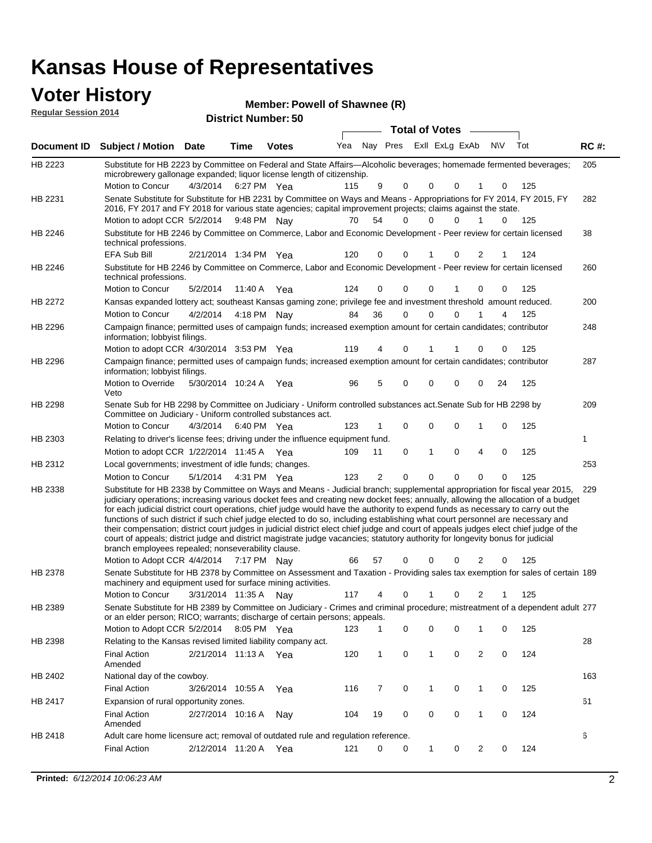# **Voter History**<br> **Megular Session 2014**<br> **Cindical District Nu**

| <b>VULGE LIBLUI Y</b><br><b>Regular Session 2014</b> |                                                                                                                                                                                                                                                                                                                                                                                                                                                                                                                                                                                                                                                                                                                                                                                                                                                                                                                 |                       |             | Member: Powell of Shawnee (R) |     |                |             |                         |   |                |     |     |             |
|------------------------------------------------------|-----------------------------------------------------------------------------------------------------------------------------------------------------------------------------------------------------------------------------------------------------------------------------------------------------------------------------------------------------------------------------------------------------------------------------------------------------------------------------------------------------------------------------------------------------------------------------------------------------------------------------------------------------------------------------------------------------------------------------------------------------------------------------------------------------------------------------------------------------------------------------------------------------------------|-----------------------|-------------|-------------------------------|-----|----------------|-------------|-------------------------|---|----------------|-----|-----|-------------|
|                                                      |                                                                                                                                                                                                                                                                                                                                                                                                                                                                                                                                                                                                                                                                                                                                                                                                                                                                                                                 |                       |             | <b>District Number: 50</b>    |     |                |             | <b>Total of Votes</b>   |   |                |     |     |             |
|                                                      | Document ID Subject / Motion Date                                                                                                                                                                                                                                                                                                                                                                                                                                                                                                                                                                                                                                                                                                                                                                                                                                                                               |                       | <b>Time</b> | <b>Votes</b>                  | Yea |                |             | Nay Pres Exll ExLg ExAb |   |                | N\V | Tot | <b>RC#:</b> |
|                                                      |                                                                                                                                                                                                                                                                                                                                                                                                                                                                                                                                                                                                                                                                                                                                                                                                                                                                                                                 |                       |             |                               |     |                |             |                         |   |                |     |     |             |
| HB 2223                                              | Substitute for HB 2223 by Committee on Federal and State Affairs—Alcoholic beverages; homemade fermented beverages;<br>microbrewery gallonage expanded; liquor license length of citizenship.                                                                                                                                                                                                                                                                                                                                                                                                                                                                                                                                                                                                                                                                                                                   |                       |             |                               |     |                |             |                         |   |                |     |     | 205         |
|                                                      | Motion to Concur                                                                                                                                                                                                                                                                                                                                                                                                                                                                                                                                                                                                                                                                                                                                                                                                                                                                                                | 4/3/2014              |             | 6:27 PM Yea                   | 115 | 9              | 0           | 0                       | 0 | 1              | 0   | 125 |             |
| HB 2231                                              | Senate Substitute for Substitute for HB 2231 by Committee on Ways and Means - Appropriations for FY 2014, FY 2015, FY<br>2016, FY 2017 and FY 2018 for various state agencies; capital improvement projects; claims against the state.                                                                                                                                                                                                                                                                                                                                                                                                                                                                                                                                                                                                                                                                          |                       |             |                               |     |                |             |                         |   |                |     |     | 282         |
|                                                      | Motion to adopt CCR 5/2/2014 9:48 PM Nay                                                                                                                                                                                                                                                                                                                                                                                                                                                                                                                                                                                                                                                                                                                                                                                                                                                                        |                       |             |                               | 70  | 54             | 0           | 0                       | 0 | 1              | 0   | 125 |             |
| HB 2246                                              | Substitute for HB 2246 by Committee on Commerce, Labor and Economic Development - Peer review for certain licensed<br>technical professions.                                                                                                                                                                                                                                                                                                                                                                                                                                                                                                                                                                                                                                                                                                                                                                    |                       |             |                               |     |                |             |                         |   |                |     |     | 38          |
|                                                      | EFA Sub Bill                                                                                                                                                                                                                                                                                                                                                                                                                                                                                                                                                                                                                                                                                                                                                                                                                                                                                                    | 2/21/2014 1:34 PM Yea |             |                               | 120 | 0              | 0           | 1                       | 0 | $\overline{2}$ | 1   | 124 |             |
| HB 2246                                              | Substitute for HB 2246 by Committee on Commerce, Labor and Economic Development - Peer review for certain licensed<br>technical professions.                                                                                                                                                                                                                                                                                                                                                                                                                                                                                                                                                                                                                                                                                                                                                                    |                       |             |                               |     |                |             |                         |   |                |     |     | 260         |
|                                                      | Motion to Concur                                                                                                                                                                                                                                                                                                                                                                                                                                                                                                                                                                                                                                                                                                                                                                                                                                                                                                | 5/2/2014              | 11:40 A     | Yea                           | 124 | 0              | 0           | 0                       |   | 0              | 0   | 125 |             |
| HB 2272                                              | Kansas expanded lottery act; southeast Kansas gaming zone; privilege fee and investment threshold amount reduced.                                                                                                                                                                                                                                                                                                                                                                                                                                                                                                                                                                                                                                                                                                                                                                                               |                       |             |                               |     |                |             |                         |   |                |     |     | 200         |
|                                                      | Motion to Concur                                                                                                                                                                                                                                                                                                                                                                                                                                                                                                                                                                                                                                                                                                                                                                                                                                                                                                | 4/2/2014              |             | 4:18 PM Nay                   | 84  | 36             | $\mathbf 0$ | 0                       | 0 |                | 4   | 125 |             |
| HB 2296                                              | Campaign finance; permitted uses of campaign funds; increased exemption amount for certain candidates; contributor<br>information; lobbyist filings.                                                                                                                                                                                                                                                                                                                                                                                                                                                                                                                                                                                                                                                                                                                                                            |                       |             |                               |     |                |             |                         |   |                |     |     | 248         |
|                                                      | Motion to adopt CCR 4/30/2014 3:53 PM Yea                                                                                                                                                                                                                                                                                                                                                                                                                                                                                                                                                                                                                                                                                                                                                                                                                                                                       |                       |             |                               | 119 | 4              | 0           | 1                       |   | 0              | 0   | 125 |             |
| HB 2296                                              | Campaign finance; permitted uses of campaign funds; increased exemption amount for certain candidates; contributor<br>information; lobbyist filings.<br>Motion to Override                                                                                                                                                                                                                                                                                                                                                                                                                                                                                                                                                                                                                                                                                                                                      |                       |             |                               |     |                |             |                         |   |                |     |     | 287         |
|                                                      | Veto                                                                                                                                                                                                                                                                                                                                                                                                                                                                                                                                                                                                                                                                                                                                                                                                                                                                                                            | 5/30/2014 10:24 A Yea |             |                               | 96  | 5              | 0           | 0                       | 0 | 0              | 24  | 125 |             |
| HB 2298                                              | Senate Sub for HB 2298 by Committee on Judiciary - Uniform controlled substances act. Senate Sub for HB 2298 by<br>Committee on Judiciary - Uniform controlled substances act.                                                                                                                                                                                                                                                                                                                                                                                                                                                                                                                                                                                                                                                                                                                                  |                       |             |                               |     |                |             |                         |   |                |     |     | 209         |
|                                                      | <b>Motion to Concur</b>                                                                                                                                                                                                                                                                                                                                                                                                                                                                                                                                                                                                                                                                                                                                                                                                                                                                                         | 4/3/2014 6:40 PM Yea  |             |                               | 123 | 1              | 0           | 0                       | 0 | 1              | 0   | 125 |             |
| HB 2303                                              | Relating to driver's license fees; driving under the influence equipment fund.                                                                                                                                                                                                                                                                                                                                                                                                                                                                                                                                                                                                                                                                                                                                                                                                                                  |                       |             |                               |     |                |             |                         |   |                |     |     | 1           |
|                                                      | Motion to adopt CCR 1/22/2014 11:45 A Yea                                                                                                                                                                                                                                                                                                                                                                                                                                                                                                                                                                                                                                                                                                                                                                                                                                                                       |                       |             |                               | 109 | 11             | 0           | 1                       | 0 | $\overline{4}$ | 0   | 125 |             |
| HB 2312                                              | Local governments; investment of idle funds; changes.                                                                                                                                                                                                                                                                                                                                                                                                                                                                                                                                                                                                                                                                                                                                                                                                                                                           |                       |             |                               |     |                |             |                         |   |                |     |     | 253         |
|                                                      | Motion to Concur                                                                                                                                                                                                                                                                                                                                                                                                                                                                                                                                                                                                                                                                                                                                                                                                                                                                                                | 5/1/2014              |             | 4:31 PM Yea                   | 123 | $\overline{2}$ | $\mathbf 0$ | $\mathbf 0$             | 0 | 0              | 0   | 125 |             |
| HB 2338                                              | Substitute for HB 2338 by Committee on Ways and Means - Judicial branch; supplemental appropriation for fiscal year 2015,<br>judiciary operations; increasing various docket fees and creating new docket fees; annually, allowing the allocation of a budget<br>for each judicial district court operations, chief judge would have the authority to expend funds as necessary to carry out the<br>functions of such district if such chief judge elected to do so, including establishing what court personnel are necessary and<br>their compensation; district court judges in judicial district elect chief judge and court of appeals judges elect chief judge of the<br>court of appeals; district judge and district magistrate judge vacancies; statutory authority for longevity bonus for judicial<br>branch employees repealed; nonseverability clause.<br>Motion to Adopt CCR 4/4/2014 7:17 PM Nay |                       |             |                               | 66  | 57             | 0           | 0                       | 0 | 2              | 0   | 125 | 229         |
| HB 2378                                              | Senate Substitute for HB 2378 by Committee on Assessment and Taxation - Providing sales tax exemption for sales of certain 189                                                                                                                                                                                                                                                                                                                                                                                                                                                                                                                                                                                                                                                                                                                                                                                  |                       |             |                               |     |                |             |                         |   |                |     |     |             |
|                                                      | machinery and equipment used for surface mining activities.<br>Motion to Concur                                                                                                                                                                                                                                                                                                                                                                                                                                                                                                                                                                                                                                                                                                                                                                                                                                 | 3/31/2014 11:35 A     |             | Nav                           | 117 | 4              | 0           | 1                       | 0 | 2              | 1   | 125 |             |
| HB 2389                                              | Senate Substitute for HB 2389 by Committee on Judiciary - Crimes and criminal procedure; mistreatment of a dependent adult 277<br>or an elder person; RICO; warrants; discharge of certain persons; appeals.                                                                                                                                                                                                                                                                                                                                                                                                                                                                                                                                                                                                                                                                                                    |                       |             |                               |     |                |             |                         |   |                |     |     |             |
|                                                      | Motion to Adopt CCR 5/2/2014 8:05 PM Yea                                                                                                                                                                                                                                                                                                                                                                                                                                                                                                                                                                                                                                                                                                                                                                                                                                                                        |                       |             |                               | 123 | 1.             | 0           | 0                       | 0 | 1              | 0   | 125 |             |
| HB 2398                                              | Relating to the Kansas revised limited liability company act.                                                                                                                                                                                                                                                                                                                                                                                                                                                                                                                                                                                                                                                                                                                                                                                                                                                   |                       |             |                               |     |                |             |                         |   |                |     |     | 28          |
|                                                      | <b>Final Action</b><br>Amended                                                                                                                                                                                                                                                                                                                                                                                                                                                                                                                                                                                                                                                                                                                                                                                                                                                                                  | 2/21/2014 11:13 A Yea |             |                               | 120 | $\mathbf{1}$   | 0           | $\mathbf{1}$            | 0 | $\overline{2}$ | 0   | 124 |             |
| HB 2402                                              | National day of the cowboy.                                                                                                                                                                                                                                                                                                                                                                                                                                                                                                                                                                                                                                                                                                                                                                                                                                                                                     |                       |             |                               |     |                |             |                         |   |                |     |     | 163         |
|                                                      | <b>Final Action</b>                                                                                                                                                                                                                                                                                                                                                                                                                                                                                                                                                                                                                                                                                                                                                                                                                                                                                             | 3/26/2014 10:55 A     |             | Yea                           | 116 | 7              | 0           | 1                       | 0 | 1              | 0   | 125 |             |
| HB 2417                                              | Expansion of rural opportunity zones.                                                                                                                                                                                                                                                                                                                                                                                                                                                                                                                                                                                                                                                                                                                                                                                                                                                                           |                       |             |                               |     |                |             |                         |   |                |     |     | 61          |
|                                                      | <b>Final Action</b><br>Amended                                                                                                                                                                                                                                                                                                                                                                                                                                                                                                                                                                                                                                                                                                                                                                                                                                                                                  | 2/27/2014 10:16 A     |             | Nay                           | 104 | 19             | 0           | 0                       | 0 | 1              | 0   | 124 |             |
| HB 2418                                              | Adult care home licensure act; removal of outdated rule and regulation reference.                                                                                                                                                                                                                                                                                                                                                                                                                                                                                                                                                                                                                                                                                                                                                                                                                               |                       |             |                               |     |                |             |                         |   |                |     |     | 6           |
|                                                      | <b>Final Action</b>                                                                                                                                                                                                                                                                                                                                                                                                                                                                                                                                                                                                                                                                                                                                                                                                                                                                                             | 2/12/2014 11:20 A Yea |             |                               | 121 | 0              | 0           | $\mathbf{1}$            | 0 | $\overline{2}$ | 0   | 124 |             |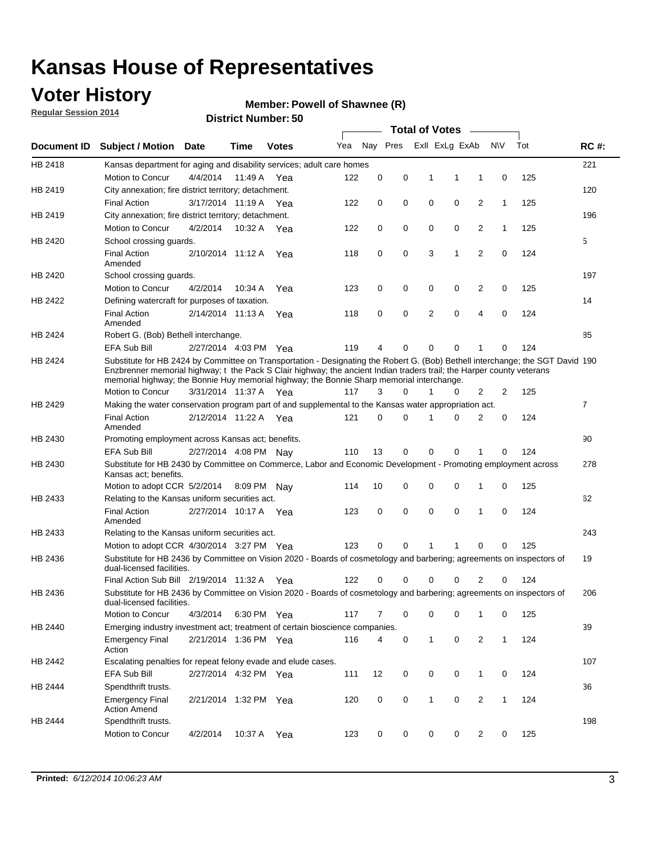### **Voter History**

**Regular Session 2014**

#### **Member: Powell of Shawnee (R)**

|                    | DISTRICT MAILINGL. 30<br><b>Total of Votes</b>                                                                                                                                                                                                                                                                                                       |                       |             |              |     |          |          |              |                |                |              |     |                |
|--------------------|------------------------------------------------------------------------------------------------------------------------------------------------------------------------------------------------------------------------------------------------------------------------------------------------------------------------------------------------------|-----------------------|-------------|--------------|-----|----------|----------|--------------|----------------|----------------|--------------|-----|----------------|
| <b>Document ID</b> | <b>Subject / Motion</b>                                                                                                                                                                                                                                                                                                                              | Date                  | Time        | <b>Votes</b> | Yea |          | Nay Pres |              | Exll ExLg ExAb |                | N\V          | Tot | <b>RC#:</b>    |
| HB 2418            | Kansas department for aging and disability services; adult care homes                                                                                                                                                                                                                                                                                |                       |             |              |     |          |          |              |                |                |              |     | 221            |
|                    | <b>Motion to Concur</b>                                                                                                                                                                                                                                                                                                                              | 4/4/2014              | 11:49 A     | Yea          | 122 | 0        | 0        | 1            | 1              | 1              | 0            | 125 |                |
| HB 2419            | City annexation; fire district territory; detachment.                                                                                                                                                                                                                                                                                                |                       |             |              |     |          |          |              |                |                |              |     | 120            |
|                    | <b>Final Action</b>                                                                                                                                                                                                                                                                                                                                  | 3/17/2014 11:19 A     |             | Yea          | 122 | 0        | 0        | 0            | 0              | $\overline{2}$ | $\mathbf{1}$ | 125 |                |
| HB 2419            | City annexation; fire district territory; detachment.                                                                                                                                                                                                                                                                                                |                       |             |              |     |          |          |              |                |                |              |     | 196            |
|                    | Motion to Concur                                                                                                                                                                                                                                                                                                                                     | 4/2/2014              | 10:32 A     | Yea          | 122 | 0        | 0        | 0            | 0              | $\overline{2}$ | 1            | 125 |                |
| HB 2420            | School crossing quards.                                                                                                                                                                                                                                                                                                                              |                       |             |              |     |          |          |              |                |                |              |     | 5              |
|                    | <b>Final Action</b><br>Amended                                                                                                                                                                                                                                                                                                                       | 2/10/2014 11:12 A     |             | Yea          | 118 | 0        | 0        | 3            | 1              | $\overline{2}$ | 0            | 124 |                |
| HB 2420            | School crossing guards.                                                                                                                                                                                                                                                                                                                              |                       |             |              |     |          |          |              |                |                |              |     | 197            |
|                    | Motion to Concur                                                                                                                                                                                                                                                                                                                                     | 4/2/2014              | 10:34 A     | Yea          | 123 | 0        | 0        | 0            | 0              | 2              | 0            | 125 |                |
| HB 2422            | Defining watercraft for purposes of taxation.                                                                                                                                                                                                                                                                                                        |                       |             |              |     |          |          |              |                |                |              |     | 14             |
|                    | <b>Final Action</b><br>Amended                                                                                                                                                                                                                                                                                                                       | 2/14/2014 11:13 A     |             | Yea          | 118 | 0        | 0        | 2            | $\mathbf 0$    | $\overline{4}$ | 0            | 124 |                |
| HB 2424            | Robert G. (Bob) Bethell interchange.                                                                                                                                                                                                                                                                                                                 |                       |             |              |     |          |          |              |                |                |              |     | 85             |
|                    | <b>EFA Sub Bill</b>                                                                                                                                                                                                                                                                                                                                  | 2/27/2014 4:03 PM Yea |             |              | 119 | 4        | 0        | $\Omega$     | $\Omega$       | 1              | 0            | 124 |                |
| HB 2424            | Substitute for HB 2424 by Committee on Transportation - Designating the Robert G. (Bob) Bethell interchange; the SGT David 190<br>Enzbrenner memorial highway; t the Pack S Clair highway; the ancient Indian traders trail; the Harper county veterans<br>memorial highway; the Bonnie Huy memorial highway; the Bonnie Sharp memorial interchange. |                       |             |              |     |          |          |              |                |                |              |     |                |
|                    | Motion to Concur                                                                                                                                                                                                                                                                                                                                     | 3/31/2014 11:37 A Yea |             |              | 117 | 3        | $\Omega$ | 1            | 0              | $\overline{2}$ | 2            | 125 |                |
| HB 2429            | Making the water conservation program part of and supplemental to the Kansas water appropriation act.                                                                                                                                                                                                                                                |                       |             |              |     |          |          |              |                |                |              |     | $\overline{7}$ |
|                    | <b>Final Action</b><br>Amended                                                                                                                                                                                                                                                                                                                       | 2/12/2014 11:22 A Yea |             |              | 121 | $\Omega$ | $\Omega$ | 1            | 0              | $\overline{2}$ | $\mathbf 0$  | 124 |                |
| HB 2430            | Promoting employment across Kansas act; benefits.                                                                                                                                                                                                                                                                                                    |                       |             |              |     |          |          |              |                |                |              |     | 90             |
|                    | EFA Sub Bill                                                                                                                                                                                                                                                                                                                                         | 2/27/2014 4:08 PM Nay |             |              | 110 | 13       | 0        | $\mathbf 0$  | 0              |                | 0            | 124 |                |
| HB 2430            | Substitute for HB 2430 by Committee on Commerce, Labor and Economic Development - Promoting employment across<br>Kansas act; benefits.                                                                                                                                                                                                               |                       |             |              |     |          |          |              |                |                |              |     | 278            |
|                    | Motion to adopt CCR 5/2/2014                                                                                                                                                                                                                                                                                                                         |                       | 8:09 PM Nay |              | 114 | 10       | 0        | 0            | 0              | 1              | 0            | 125 |                |
| HB 2433            | Relating to the Kansas uniform securities act.                                                                                                                                                                                                                                                                                                       |                       |             |              |     |          |          |              |                |                |              |     | 62             |
|                    | <b>Final Action</b><br>Amended                                                                                                                                                                                                                                                                                                                       | 2/27/2014 10:17 A Yea |             |              | 123 | 0        | 0        | $\mathbf 0$  | $\mathbf 0$    | 1              | 0            | 124 |                |
| HB 2433            | Relating to the Kansas uniform securities act.                                                                                                                                                                                                                                                                                                       |                       |             |              |     |          |          |              |                |                |              |     | 243            |
|                    | Motion to adopt CCR 4/30/2014 3:27 PM Yea                                                                                                                                                                                                                                                                                                            |                       |             |              | 123 | $\Omega$ | $\Omega$ | 1            | 1              | $\Omega$       | 0            | 125 |                |
| HB 2436            | Substitute for HB 2436 by Committee on Vision 2020 - Boards of cosmetology and barbering; agreements on inspectors of<br>dual-licensed facilities.                                                                                                                                                                                                   |                       |             |              |     |          |          |              |                |                |              |     | 19             |
|                    | Final Action Sub Bill 2/19/2014 11:32 A                                                                                                                                                                                                                                                                                                              |                       |             | Yea          | 122 | ი        | 0        | O            | 0              | 2              | 0            | 124 |                |
| HB 2436            | Substitute for HB 2436 by Committee on Vision 2020 - Boards of cosmetology and barbering; agreements on inspectors of<br>dual-licensed facilities.                                                                                                                                                                                                   |                       |             |              |     |          |          |              |                |                |              |     | 206            |
|                    | Motion to Concur                                                                                                                                                                                                                                                                                                                                     | 4/3/2014              | 6:30 PM Yea |              | 117 | 7        | 0        | 0            | 0              | 1              | 0            | 125 |                |
| HB 2440            | Emerging industry investment act; treatment of certain bioscience companies.                                                                                                                                                                                                                                                                         |                       |             |              |     |          |          |              |                |                |              |     | 39             |
|                    | <b>Emergency Final</b><br>Action                                                                                                                                                                                                                                                                                                                     | 2/21/2014 1:36 PM Yea |             |              | 116 | 4        | 0        | $\mathbf{1}$ | 0              | 2              | $\mathbf{1}$ | 124 |                |
| HB 2442            | Escalating penalties for repeat felony evade and elude cases.                                                                                                                                                                                                                                                                                        |                       |             |              |     |          |          |              |                |                |              |     | 107            |
|                    | EFA Sub Bill                                                                                                                                                                                                                                                                                                                                         | 2/27/2014 4:32 PM Yea |             |              | 111 | 12       | 0        | 0            | 0              | $\mathbf{1}$   | 0            | 124 |                |
| HB 2444            | Spendthrift trusts.                                                                                                                                                                                                                                                                                                                                  |                       |             |              |     |          |          |              |                |                |              |     | 36             |
|                    | <b>Emergency Final</b><br><b>Action Amend</b>                                                                                                                                                                                                                                                                                                        | 2/21/2014 1:32 PM Yea |             |              | 120 | 0        | 0        | $\mathbf{1}$ | 0              | $\overline{2}$ | $\mathbf{1}$ | 124 |                |
| HB 2444            | Spendthrift trusts.                                                                                                                                                                                                                                                                                                                                  |                       |             |              |     |          |          |              |                |                |              |     | 198            |
|                    | Motion to Concur                                                                                                                                                                                                                                                                                                                                     | 4/2/2014              | 10:37 A Yea |              | 123 | 0        | 0        | 0            | 0              | $\overline{2}$ | 0            | 125 |                |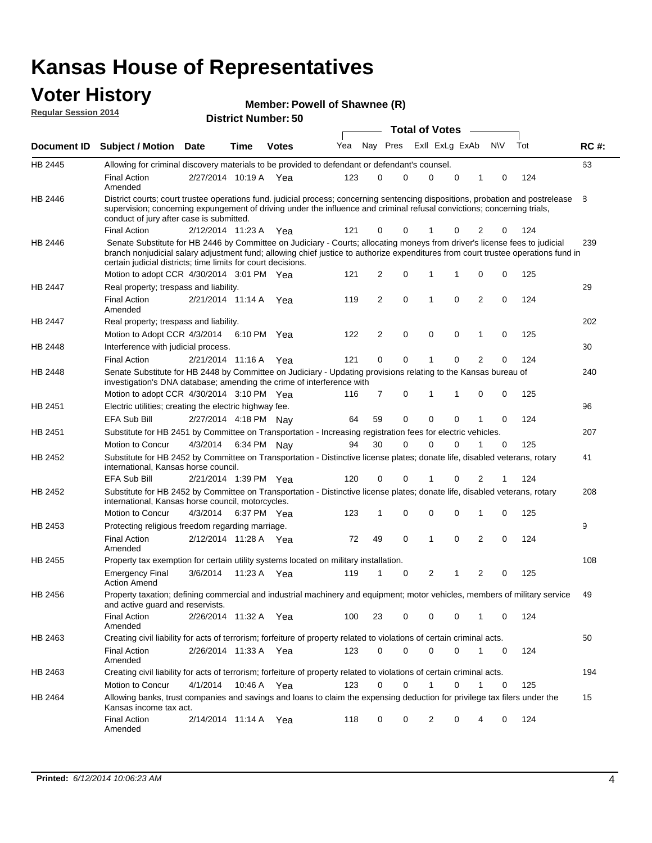#### **Voter History Regular Session 2014**

| Member: Powell of Shawnee (R) |  |
|-------------------------------|--|
|-------------------------------|--|

|                    |                                                                                                                                                                                                                                                                                                                                 |                       |      |              |     |                |             | <b>Total of Votes</b> |             |                |           |     |             |
|--------------------|---------------------------------------------------------------------------------------------------------------------------------------------------------------------------------------------------------------------------------------------------------------------------------------------------------------------------------|-----------------------|------|--------------|-----|----------------|-------------|-----------------------|-------------|----------------|-----------|-----|-------------|
| <b>Document ID</b> | <b>Subject / Motion Date</b>                                                                                                                                                                                                                                                                                                    |                       | Time | <b>Votes</b> | Yea | Nay Pres       |             | Exll ExLg ExAb        |             |                | <b>NV</b> | Tot | <b>RC#:</b> |
| HB 2445            | Allowing for criminal discovery materials to be provided to defendant or defendant's counsel.                                                                                                                                                                                                                                   |                       |      |              |     |                |             |                       |             |                |           |     | 63          |
|                    | <b>Final Action</b><br>Amended                                                                                                                                                                                                                                                                                                  | 2/27/2014 10:19 A Yea |      |              | 123 | 0              | 0           | 0                     | 0           | 1              | 0         | 124 |             |
| HB 2446            | District courts; court trustee operations fund. judicial process; concerning sentencing dispositions, probation and postrelease<br>supervision; concerning expungement of driving under the influence and criminal refusal convictions; concerning trials,<br>conduct of jury after case is submitted.                          |                       |      |              |     |                |             |                       |             |                |           |     | 8           |
|                    | <b>Final Action</b>                                                                                                                                                                                                                                                                                                             | 2/12/2014 11:23 A Yea |      |              | 121 | 0              | 0           | 1                     | 0           | 2              | 0         | 124 |             |
| HB 2446            | Senate Substitute for HB 2446 by Committee on Judiciary - Courts; allocating moneys from driver's license fees to judicial<br>branch nonjudicial salary adjustment fund; allowing chief justice to authorize expenditures from court trustee operations fund in<br>certain judicial districts; time limits for court decisions. |                       |      |              |     |                |             |                       |             |                |           |     | 239         |
|                    | Motion to adopt CCR 4/30/2014 3:01 PM Yea                                                                                                                                                                                                                                                                                       |                       |      |              | 121 | 2              | 0           | 1                     | 1           | 0              | 0         | 125 |             |
| HB 2447            | Real property; trespass and liability.                                                                                                                                                                                                                                                                                          |                       |      |              |     |                |             |                       |             |                |           |     | 29          |
|                    | <b>Final Action</b><br>Amended                                                                                                                                                                                                                                                                                                  | 2/21/2014 11:14 A Yea |      |              | 119 | 2              | 0           | 1                     | 0           | 2              | 0         | 124 |             |
| HB 2447            | Real property; trespass and liability.                                                                                                                                                                                                                                                                                          |                       |      |              |     |                |             |                       |             |                |           |     | 202         |
|                    | Motion to Adopt CCR 4/3/2014                                                                                                                                                                                                                                                                                                    |                       |      | 6:10 PM Yea  | 122 | $\overline{2}$ | $\mathbf 0$ | $\mathbf 0$           | 0           | $\mathbf{1}$   | 0         | 125 |             |
| HB 2448            | Interference with judicial process.                                                                                                                                                                                                                                                                                             |                       |      |              |     |                |             |                       |             |                |           |     | 30          |
|                    | <b>Final Action</b>                                                                                                                                                                                                                                                                                                             | 2/21/2014 11:16 A     |      | Yea          | 121 | 0              | 0           | 1                     | 0           | $\overline{2}$ | 0         | 124 |             |
| HB 2448            | Senate Substitute for HB 2448 by Committee on Judiciary - Updating provisions relating to the Kansas bureau of<br>investigation's DNA database; amending the crime of interference with                                                                                                                                         |                       |      |              |     |                |             |                       |             |                |           |     | 240         |
|                    | Motion to adopt CCR 4/30/2014 3:10 PM Yea                                                                                                                                                                                                                                                                                       |                       |      |              | 116 | $\overline{7}$ | 0           | 1                     | 1           | 0              | 0         | 125 |             |
| HB 2451            | Electric utilities; creating the electric highway fee.                                                                                                                                                                                                                                                                          |                       |      |              |     |                |             |                       |             |                |           |     | 96          |
|                    | EFA Sub Bill                                                                                                                                                                                                                                                                                                                    | 2/27/2014 4:18 PM Nay |      |              | 64  | 59             | 0           | 0                     | 0           |                | 0         | 124 |             |
| HB 2451            | Substitute for HB 2451 by Committee on Transportation - Increasing registration fees for electric vehicles.                                                                                                                                                                                                                     |                       |      |              |     |                |             |                       |             |                |           |     | 207         |
|                    | Motion to Concur                                                                                                                                                                                                                                                                                                                | 4/3/2014              |      | 6:34 PM Nay  | 94  | 30             | 0           | 0                     | 0           |                | 0         | 125 |             |
| HB 2452            | Substitute for HB 2452 by Committee on Transportation - Distinctive license plates; donate life, disabled veterans, rotary<br>international, Kansas horse council.                                                                                                                                                              |                       |      |              |     |                |             |                       |             |                |           |     | 41          |
|                    | EFA Sub Bill                                                                                                                                                                                                                                                                                                                    | 2/21/2014 1:39 PM Yea |      |              | 120 | 0              | 0           |                       | 0           | 2              | 1         | 124 |             |
| HB 2452            | Substitute for HB 2452 by Committee on Transportation - Distinctive license plates; donate life, disabled veterans, rotary<br>international, Kansas horse council, motorcycles.                                                                                                                                                 |                       |      |              |     |                |             |                       |             |                |           |     | 208         |
|                    | Motion to Concur                                                                                                                                                                                                                                                                                                                | 4/3/2014              |      | 6:37 PM Yea  | 123 | 1              | 0           | $\mathbf 0$           | 0           | 1              | 0         | 125 |             |
| HB 2453            | Protecting religious freedom regarding marriage.                                                                                                                                                                                                                                                                                |                       |      |              |     |                |             |                       |             |                |           |     | 9           |
|                    | <b>Final Action</b><br>Amended                                                                                                                                                                                                                                                                                                  | 2/12/2014 11:28 A Yea |      |              | 72  | 49             | 0           | 1                     | 0           | $\overline{2}$ | 0         | 124 |             |
| HB 2455            | Property tax exemption for certain utility systems located on military installation.                                                                                                                                                                                                                                            |                       |      |              |     |                |             |                       |             |                |           |     | 108         |
|                    | <b>Emergency Final</b><br><b>Action Amend</b>                                                                                                                                                                                                                                                                                   | 3/6/2014              |      | 11:23 A Yea  | 119 | 1              | 0           | 2                     | 1           | $\overline{2}$ | 0         | 125 |             |
| HB 2456            | Property taxation; defining commercial and industrial machinery and equipment; motor vehicles, members of military service<br>and active guard and reservists.                                                                                                                                                                  |                       |      |              |     |                |             |                       |             |                |           |     | 49          |
|                    | <b>Final Action</b><br>Amended                                                                                                                                                                                                                                                                                                  | 2/26/2014 11:32 A Yea |      |              | 100 | 23             | 0           | 0                     | 0           | 1              | 0         | 124 |             |
| HB 2463            | Creating civil liability for acts of terrorism; forfeiture of property related to violations of certain criminal acts.                                                                                                                                                                                                          |                       |      |              |     |                |             |                       |             |                |           |     | 50          |
|                    | <b>Final Action</b><br>Amended                                                                                                                                                                                                                                                                                                  | 2/26/2014 11:33 A Yea |      |              | 123 | 0              | 0           | 0                     | 0           | $\mathbf{1}$   | 0         | 124 |             |
| HB 2463            | Creating civil liability for acts of terrorism; forfeiture of property related to violations of certain criminal acts.                                                                                                                                                                                                          |                       |      |              |     |                |             |                       |             |                |           |     | 194         |
|                    | Motion to Concur                                                                                                                                                                                                                                                                                                                | 4/1/2014              |      | 10:46 A Yea  | 123 | 0              | 0           | 1                     | $\mathbf 0$ | $\mathbf{1}$   | 0         | 125 |             |
| HB 2464            | Allowing banks, trust companies and savings and loans to claim the expensing deduction for privilege tax filers under the<br>Kansas income tax act.                                                                                                                                                                             |                       |      |              |     |                |             |                       |             |                |           |     | 15          |
|                    | <b>Final Action</b><br>Amended                                                                                                                                                                                                                                                                                                  | 2/14/2014 11:14 A Yea |      |              | 118 | 0              | 0           | 2                     | 0           | 4              | 0         | 124 |             |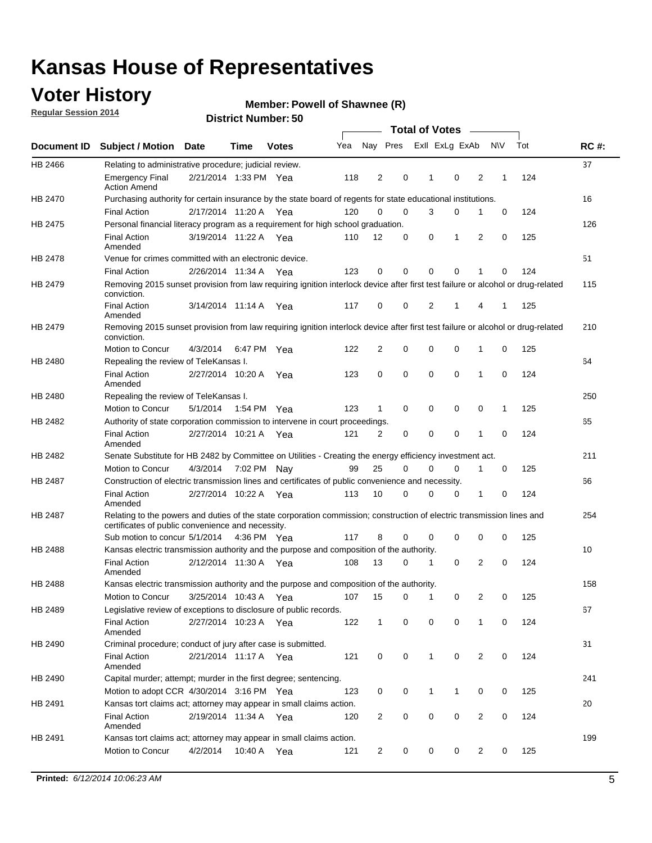### **Voter History**

**Regular Session 2014**

#### **Member: Powell of Shawnee (R)**

|                    |                                                                                                                                                                             |                       |             |              |     |                |             | <b>Total of Votes</b> |              |                |                |           |     |             |
|--------------------|-----------------------------------------------------------------------------------------------------------------------------------------------------------------------------|-----------------------|-------------|--------------|-----|----------------|-------------|-----------------------|--------------|----------------|----------------|-----------|-----|-------------|
| <b>Document ID</b> | <b>Subject / Motion</b>                                                                                                                                                     | Date                  | Time        | <b>Votes</b> | Yea |                | Nay Pres    |                       |              | Exll ExLg ExAb |                | <b>NV</b> | Tot | <b>RC#:</b> |
| HB 2466            | Relating to administrative procedure; judicial review.                                                                                                                      |                       |             |              |     |                |             |                       |              |                |                |           |     | 37          |
|                    | <b>Emergency Final</b><br><b>Action Amend</b>                                                                                                                               | 2/21/2014 1:33 PM Yea |             |              | 118 | 2              | 0           |                       | 1            | $\mathbf 0$    | 2              | 1         | 124 |             |
| <b>HB 2470</b>     | Purchasing authority for certain insurance by the state board of regents for state educational institutions.                                                                |                       |             |              |     |                |             |                       |              |                |                |           |     | 16          |
|                    | <b>Final Action</b>                                                                                                                                                         | 2/17/2014 11:20 A Yea |             |              | 120 | 0              | 0           |                       | 3            | 0              | 1              | 0         | 124 |             |
| HB 2475            | Personal financial literacy program as a requirement for high school graduation.                                                                                            |                       |             |              |     |                |             |                       |              |                |                |           |     | 126         |
|                    | <b>Final Action</b><br>Amended                                                                                                                                              | 3/19/2014 11:22 A Yea |             |              | 110 | 12             | 0           |                       | 0            | 1              | 2              | 0         | 125 |             |
| HB 2478            | Venue for crimes committed with an electronic device.                                                                                                                       |                       |             |              |     |                |             |                       |              |                |                |           |     | 51          |
|                    | <b>Final Action</b>                                                                                                                                                         | 2/26/2014 11:34 A     |             | Yea          | 123 | $\mathbf 0$    | 0           |                       | $\Omega$     | $\mathbf 0$    | 1              | 0         | 124 |             |
| HB 2479            | Removing 2015 sunset provision from law requiring ignition interlock device after first test failure or alcohol or drug-related<br>conviction.                              |                       |             |              |     |                |             |                       |              |                |                |           |     | 115         |
|                    | <b>Final Action</b><br>Amended                                                                                                                                              | 3/14/2014 11:14 A     |             | Yea          | 117 | 0              | 0           |                       | 2            | 1              | 4              | 1         | 125 |             |
| HB 2479            | Removing 2015 sunset provision from law requiring ignition interlock device after first test failure or alcohol or drug-related<br>conviction.                              |                       |             |              |     |                |             |                       |              |                |                |           |     | 210         |
|                    | Motion to Concur                                                                                                                                                            | 4/3/2014              |             | 6:47 PM Yea  | 122 | 2              | 0           |                       | $\mathbf 0$  | 0              | 1              | 0         | 125 |             |
| HB 2480            | Repealing the review of TeleKansas I.                                                                                                                                       |                       |             |              |     |                |             |                       |              |                |                |           |     | 64          |
|                    | <b>Final Action</b><br>Amended                                                                                                                                              | 2/27/2014 10:20 A Yea |             |              | 123 | 0              | $\mathbf 0$ |                       | 0            | $\mathbf 0$    | 1              | 0         | 124 |             |
| HB 2480            | Repealing the review of TeleKansas I.                                                                                                                                       |                       |             |              |     |                |             |                       |              |                |                |           |     | 250         |
|                    | Motion to Concur                                                                                                                                                            | 5/1/2014              |             | 1:54 PM Yea  | 123 | 1              | 0           |                       | 0            | $\mathbf 0$    | 0              | 1         | 125 |             |
| HB 2482            | Authority of state corporation commission to intervene in court proceedings.                                                                                                |                       |             |              |     |                |             |                       |              |                |                |           |     | 65          |
|                    | <b>Final Action</b><br>Amended                                                                                                                                              | 2/27/2014 10:21 A     |             | Yea          | 121 | $\overline{2}$ | 0           |                       | 0            | $\mathbf 0$    | 1              | 0         | 124 |             |
| HB 2482            | Senate Substitute for HB 2482 by Committee on Utilities - Creating the energy efficiency investment act.                                                                    |                       |             |              |     |                |             |                       |              |                |                |           |     | 211         |
|                    | Motion to Concur                                                                                                                                                            | 4/3/2014 7:02 PM Nay  |             |              | 99  | 25             | 0           |                       | 0            | $\mathbf 0$    | 1              | 0         | 125 |             |
| HB 2487            | Construction of electric transmission lines and certificates of public convenience and necessity.                                                                           |                       |             |              |     |                |             |                       |              |                |                |           |     | 66          |
|                    | <b>Final Action</b><br>Amended                                                                                                                                              | 2/27/2014 10:22 A     |             | Yea          | 113 | 10             | 0           |                       | 0            | 0              | 1              | 0         | 124 |             |
| HB 2487            | Relating to the powers and duties of the state corporation commission; construction of electric transmission lines and<br>certificates of public convenience and necessity. |                       |             |              |     |                |             |                       |              |                |                |           |     | 254         |
|                    | Sub motion to concur 5/1/2014                                                                                                                                               |                       | 4:36 PM Yea |              | 117 | 8              | $\mathbf 0$ |                       | 0            | $\mathbf 0$    | 0              | 0         | 125 |             |
| HB 2488            | Kansas electric transmission authority and the purpose and composition of the authority.                                                                                    |                       |             |              |     |                |             |                       |              |                |                |           |     | 10          |
|                    | <b>Final Action</b><br>Amended                                                                                                                                              | 2/12/2014 11:30 A Yea |             |              | 108 | 13             | 0           |                       | 1            | $\mathbf 0$    | 2              | 0         | 124 |             |
| HB 2488            | Kansas electric transmission authority and the purpose and composition of the authority.                                                                                    |                       |             |              |     |                |             |                       |              |                |                |           |     | 158         |
|                    | Motion to Concur                                                                                                                                                            | 3/25/2014 10:43 A     |             | Yea          | 107 | 15             | 0           |                       | $\mathbf 1$  | 0              | 2              | 0         | 125 |             |
| HB 2489            | Legislative review of exceptions to disclosure of public records.                                                                                                           |                       |             |              |     |                |             |                       |              |                |                |           |     | 67          |
|                    | <b>Final Action</b><br>Amended                                                                                                                                              | 2/27/2014 10:23 A Yea |             |              | 122 | $\mathbf{1}$   | 0           |                       | 0            | 0              | 1              | 0         | 124 |             |
| HB 2490            | Criminal procedure; conduct of jury after case is submitted.                                                                                                                |                       |             |              |     |                |             |                       |              |                |                |           |     | 31          |
|                    | <b>Final Action</b><br>Amended                                                                                                                                              | 2/21/2014 11:17 A Yea |             |              | 121 | 0              | 0           |                       | $\mathbf{1}$ | $\mathbf 0$    | 2              | 0         | 124 |             |
| HB 2490            | Capital murder; attempt; murder in the first degree; sentencing.                                                                                                            |                       |             |              |     |                |             |                       |              |                |                |           |     | 241         |
|                    | Motion to adopt CCR 4/30/2014 3:16 PM Yea                                                                                                                                   |                       |             |              | 123 | 0              | 0           |                       | 1            | 1              | 0              | 0         | 125 |             |
| HB 2491            | Kansas tort claims act; attorney may appear in small claims action.                                                                                                         |                       |             |              |     |                |             |                       |              |                |                |           |     | 20          |
|                    | <b>Final Action</b><br>Amended                                                                                                                                              | 2/19/2014 11:34 A Yea |             |              | 120 | $\overline{c}$ | 0           |                       | 0            | 0              | 2              | 0         | 124 |             |
| HB 2491            | Kansas tort claims act; attorney may appear in small claims action.                                                                                                         |                       |             |              |     |                |             |                       |              |                |                |           |     | 199         |
|                    | Motion to Concur                                                                                                                                                            | 4/2/2014              |             | 10:40 A Yea  | 121 | $\overline{2}$ | 0           |                       | 0            | 0              | $\overline{2}$ | 0         | 125 |             |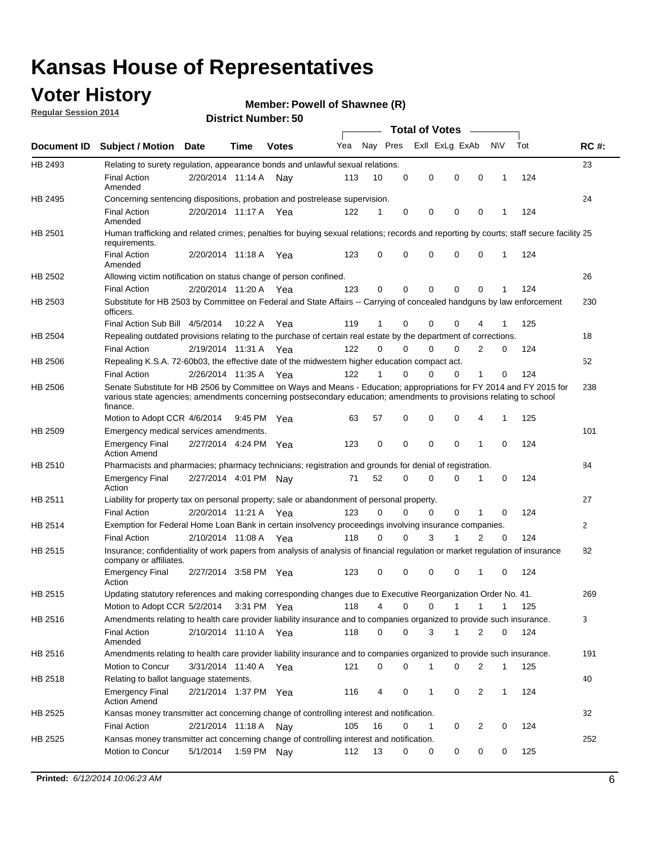### **Voter History**

**Regular Session 2014**

#### **Member: Powell of Shawnee (R)**

|             |                                                                                                                                                                                                                                                        |                       |             | DISTRICT MAILING 1. 30 |     |          |          |                                    |             |                |              |     |              |
|-------------|--------------------------------------------------------------------------------------------------------------------------------------------------------------------------------------------------------------------------------------------------------|-----------------------|-------------|------------------------|-----|----------|----------|------------------------------------|-------------|----------------|--------------|-----|--------------|
| Document ID | <b>Subject / Motion Date</b>                                                                                                                                                                                                                           |                       | Time        | <b>Votes</b>           | Yea |          | Nay Pres | Total of Votes –<br>Exll ExLg ExAb |             |                | N\V          | Tot | <b>RC#:</b>  |
| HB 2493     | Relating to surety regulation, appearance bonds and unlawful sexual relations.                                                                                                                                                                         |                       |             |                        |     |          |          |                                    |             |                |              |     | 23           |
|             | <b>Final Action</b><br>Amended                                                                                                                                                                                                                         | 2/20/2014 11:14 A Nay |             |                        | 113 | 10       | 0        | 0                                  | $\mathbf 0$ | $\mathbf 0$    | $\mathbf 1$  | 124 |              |
| HB 2495     | Concerning sentencing dispositions, probation and postrelease supervision.                                                                                                                                                                             |                       |             |                        |     |          |          |                                    |             |                |              |     | 24           |
|             | <b>Final Action</b><br>Amended                                                                                                                                                                                                                         | 2/20/2014 11:17 A     |             | Yea                    | 122 | 1        | 0        | 0                                  | 0           | $\mathbf 0$    | -1           | 124 |              |
| HB 2501     | Human trafficking and related crimes; penalties for buying sexual relations; records and reporting by courts; staff secure facility 25<br>requirements.                                                                                                |                       |             |                        |     |          |          |                                    |             |                |              |     |              |
|             | <b>Final Action</b><br>Amended                                                                                                                                                                                                                         | 2/20/2014 11:18 A Yea |             |                        | 123 | 0        | $\Omega$ | 0                                  | 0           | $\mathbf 0$    | 1            | 124 |              |
| HB 2502     | Allowing victim notification on status change of person confined.                                                                                                                                                                                      |                       |             |                        |     |          |          |                                    |             |                |              |     | 26           |
|             | <b>Final Action</b>                                                                                                                                                                                                                                    | 2/20/2014 11:20 A Yea |             |                        | 123 | 0        | 0        | 0                                  | 0           | $\mathbf 0$    |              | 124 |              |
| HB 2503     | Substitute for HB 2503 by Committee on Federal and State Affairs -- Carrying of concealed handguns by law enforcement<br>officers.                                                                                                                     |                       |             |                        |     |          |          |                                    |             |                |              |     | 230          |
|             | Final Action Sub Bill 4/5/2014                                                                                                                                                                                                                         |                       | 10:22A      | Yea                    | 119 | 1        | 0        | 0                                  | 0           |                |              | 125 |              |
| HB 2504     | Repealing outdated provisions relating to the purchase of certain real estate by the department of corrections.                                                                                                                                        |                       |             |                        |     |          |          |                                    |             |                |              |     | 18           |
|             | <b>Final Action</b>                                                                                                                                                                                                                                    | 2/19/2014 11:31 A     |             | Yea                    | 122 | $\Omega$ | $\Omega$ | 0                                  | 0           | $\overline{2}$ | 0            | 124 |              |
| HB 2506     | Repealing K.S.A. 72-60b03, the effective date of the midwestern higher education compact act.                                                                                                                                                          |                       |             |                        |     |          |          |                                    |             |                |              |     | 52           |
|             | <b>Final Action</b>                                                                                                                                                                                                                                    | 2/26/2014 11:35 A Yea |             |                        | 122 | 1        | 0        | 0                                  | 0           | 1              | 0            | 124 |              |
| HB 2506     | Senate Substitute for HB 2506 by Committee on Ways and Means - Education; appropriations for FY 2014 and FY 2015 for<br>various state agencies; amendments concerning postsecondary education; amendments to provisions relating to school<br>finance. |                       |             |                        |     |          |          |                                    |             |                |              |     | 238          |
|             | Motion to Adopt CCR 4/6/2014                                                                                                                                                                                                                           |                       | 9:45 PM Yea |                        | 63  | 57       | 0        | 0                                  | 0           | 4              | $\mathbf{1}$ | 125 |              |
| HB 2509     | Emergency medical services amendments.                                                                                                                                                                                                                 |                       |             |                        |     |          |          |                                    |             |                |              |     | 101          |
|             | <b>Emergency Final</b><br><b>Action Amend</b>                                                                                                                                                                                                          | 2/27/2014 4:24 PM Yea |             |                        | 123 | 0        | $\Omega$ | $\Omega$                           | $\Omega$    | $\mathbf{1}$   | $\Omega$     | 124 |              |
| HB 2510     | Pharmacists and pharmacies; pharmacy technicians; registration and grounds for denial of registration.                                                                                                                                                 |                       |             |                        |     |          |          |                                    |             |                |              |     | 84           |
|             | <b>Emergency Final</b><br>Action                                                                                                                                                                                                                       | 2/27/2014 4:01 PM Nay |             |                        | 71  | 52       | 0        | 0                                  | 0           | 1              | 0            | 124 |              |
| HB 2511     | Liability for property tax on personal property; sale or abandonment of personal property.                                                                                                                                                             |                       |             |                        |     |          |          |                                    |             |                |              |     | 27           |
|             | <b>Final Action</b>                                                                                                                                                                                                                                    | 2/20/2014 11:21 A Yea |             |                        | 123 | $\Omega$ | 0        | 0                                  | 0           | 1              | 0            | 124 |              |
| HB 2514     | Exemption for Federal Home Loan Bank in certain insolvency proceedings involving insurance companies.                                                                                                                                                  |                       |             |                        |     |          |          |                                    |             |                |              |     | $\mathbf{2}$ |
|             | <b>Final Action</b>                                                                                                                                                                                                                                    | 2/10/2014 11:08 A     |             | Yea                    | 118 | $\Omega$ | $\Omega$ | 3                                  | 1           | 2              | 0            | 124 |              |
| HB 2515     | Insurance; confidentiality of work papers from analysis of analysis of financial regulation or market regulation of insurance<br>company or affiliates.                                                                                                |                       |             |                        |     |          |          |                                    |             |                |              |     | 82           |
|             | <b>Emergency Final</b><br>Action                                                                                                                                                                                                                       | 2/27/2014 3:58 PM Yea |             |                        | 123 | 0        | 0        | 0                                  | 0           | -1             | $\Omega$     | 124 |              |
| HB 2515     | Updating statutory references and making corresponding changes due to Executive Reorganization Order No. 41.                                                                                                                                           |                       |             |                        |     |          |          |                                    |             |                |              |     | 269          |
|             | Motion to Adopt CCR 5/2/2014 3:31 PM Yea                                                                                                                                                                                                               |                       |             |                        | 118 | 4        | 0        | 0                                  | 1           | 1              | 1            | 125 |              |
| HB 2516     | Amendments relating to health care provider liability insurance and to companies organized to provide such insurance.                                                                                                                                  |                       |             |                        |     |          |          |                                    |             |                |              |     | 3            |
|             | <b>Final Action</b><br>Amended                                                                                                                                                                                                                         | 2/10/2014 11:10 A Yea |             |                        | 118 | 0        | 0        | 3                                  | 1           | 2              | 0            | 124 |              |
| HB 2516     | Amendments relating to health care provider liability insurance and to companies organized to provide such insurance.                                                                                                                                  |                       |             |                        |     |          |          |                                    |             |                |              |     | 191          |
|             | Motion to Concur                                                                                                                                                                                                                                       | 3/31/2014 11:40 A Yea |             |                        | 121 | 0        | 0        | 1                                  | 0           | 2              | $\mathbf{1}$ | 125 |              |
| HB 2518     | Relating to ballot language statements.                                                                                                                                                                                                                |                       |             |                        |     |          |          |                                    |             |                |              |     | 40           |
|             | <b>Emergency Final</b><br><b>Action Amend</b>                                                                                                                                                                                                          | 2/21/2014 1:37 PM Yea |             |                        | 116 | 4        | 0        | 1                                  | 0           | 2              | 1            | 124 |              |
| HB 2525     | Kansas money transmitter act concerning change of controlling interest and notification.                                                                                                                                                               |                       |             |                        |     |          |          |                                    |             |                |              |     | 32           |
|             | <b>Final Action</b>                                                                                                                                                                                                                                    | 2/21/2014 11:18 A     |             | Nav                    | 105 | 16       | 0        | 1                                  | 0           | 2              | 0            | 124 |              |
| HB 2525     | Kansas money transmitter act concerning change of controlling interest and notification.                                                                                                                                                               |                       |             |                        |     |          |          |                                    |             |                |              |     | 252          |
|             | Motion to Concur                                                                                                                                                                                                                                       | 5/1/2014              | 1:59 PM Nay |                        | 112 | 13       | 0        | 0                                  | 0           | 0              | 0            | 125 |              |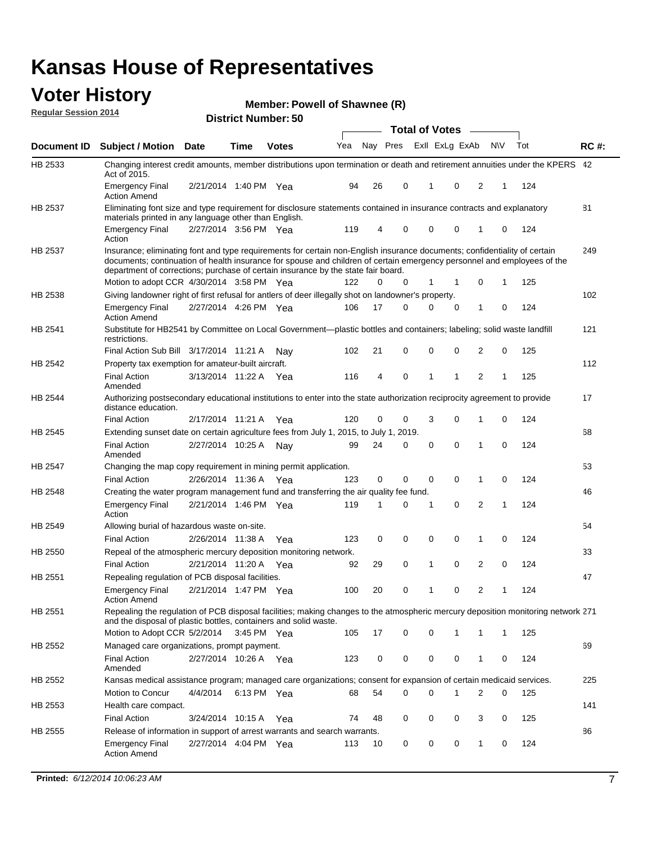#### **Voter History Regular Session 2014**

| Member: Powell of Shawnee (R) |  |  |
|-------------------------------|--|--|
|-------------------------------|--|--|

|                | <b>Total of Votes</b>                                                                                                                                                                                                                                                                                                                     |                       |             |              |     |          |       |             |                |              |           |     |             |
|----------------|-------------------------------------------------------------------------------------------------------------------------------------------------------------------------------------------------------------------------------------------------------------------------------------------------------------------------------------------|-----------------------|-------------|--------------|-----|----------|-------|-------------|----------------|--------------|-----------|-----|-------------|
| Document ID    | <b>Subject / Motion Date</b>                                                                                                                                                                                                                                                                                                              |                       | Time        | <b>Votes</b> | Yea | Nay Pres |       |             | Exll ExLg ExAb |              | <b>NV</b> | Tot | <b>RC#:</b> |
| HB 2533        | Changing interest credit amounts, member distributions upon termination or death and retirement annuities under the KPERS 42<br>Act of 2015.                                                                                                                                                                                              |                       |             |              |     |          |       |             |                |              |           |     |             |
|                | <b>Emergency Final</b><br><b>Action Amend</b>                                                                                                                                                                                                                                                                                             | 2/21/2014 1:40 PM Yea |             |              | 94  | 26       | 0     | 1           | 0              | 2            | 1         | 124 |             |
| <b>HB 2537</b> | Eliminating font size and type requirement for disclosure statements contained in insurance contracts and explanatory<br>materials printed in any language other than English.                                                                                                                                                            |                       |             |              |     |          |       |             |                |              |           |     | 81          |
|                | <b>Emergency Final</b><br>Action                                                                                                                                                                                                                                                                                                          | 2/27/2014 3:56 PM Yea |             |              | 119 | 4        | 0     | $\mathbf 0$ | 0              | 1            | 0         | 124 |             |
| HB 2537        | Insurance; eliminating font and type requirements for certain non-English insurance documents; confidentiality of certain<br>documents; continuation of health insurance for spouse and children of certain emergency personnel and employees of the<br>department of corrections; purchase of certain insurance by the state fair board. |                       |             |              |     |          |       |             |                |              |           |     | 249         |
|                | Motion to adopt CCR 4/30/2014 3:58 PM Yea                                                                                                                                                                                                                                                                                                 |                       |             |              | 122 | 0        | 0     | 1           | 1              | 0            | 1         | 125 |             |
| HB 2538        | Giving landowner right of first refusal for antlers of deer illegally shot on landowner's property.                                                                                                                                                                                                                                       |                       |             |              |     |          |       |             |                |              |           |     | 102         |
|                | Emergency Final<br><b>Action Amend</b>                                                                                                                                                                                                                                                                                                    | 2/27/2014 4:26 PM Yea |             |              | 106 | 17       | 0     | 0           | 0              | 1            | 0         | 124 |             |
| HB 2541        | Substitute for HB2541 by Committee on Local Government—plastic bottles and containers; labeling; solid waste landfill<br>restrictions.                                                                                                                                                                                                    |                       |             |              |     |          |       |             |                |              |           |     | 121         |
|                | Final Action Sub Bill 3/17/2014 11:21 A                                                                                                                                                                                                                                                                                                   |                       |             | Nav          | 102 | 21       | 0     | $\mathbf 0$ | 0              | 2            | 0         | 125 |             |
| HB 2542        | Property tax exemption for amateur-built aircraft.                                                                                                                                                                                                                                                                                        |                       |             |              |     |          |       |             |                |              |           |     | 112         |
|                | Final Action<br>Amended                                                                                                                                                                                                                                                                                                                   | 3/13/2014 11:22 A Yea |             |              | 116 | 4        | 0     | 1           | 1              | 2            | 1         | 125 |             |
| HB 2544        | Authorizing postsecondary educational institutions to enter into the state authorization reciprocity agreement to provide<br>distance education.                                                                                                                                                                                          |                       |             |              |     |          |       |             |                |              |           |     | 17          |
|                | <b>Final Action</b>                                                                                                                                                                                                                                                                                                                       | 2/17/2014 11:21 A     |             | Yea          | 120 | 0        | 0     | 3           | 0              | 1            | 0         | 124 |             |
| HB 2545        | Extending sunset date on certain agriculture fees from July 1, 2015, to July 1,                                                                                                                                                                                                                                                           |                       |             |              |     |          | 2019. |             |                |              |           |     | 68          |
|                | <b>Final Action</b><br>Amended                                                                                                                                                                                                                                                                                                            | 2/27/2014 10:25 A     |             | Nav          | 99  | 24       | 0     | $\mathbf 0$ | $\mathbf 0$    | 1            | 0         | 124 |             |
| HB 2547        | Changing the map copy requirement in mining permit application.                                                                                                                                                                                                                                                                           |                       |             |              |     |          |       |             |                |              |           |     | 53          |
|                | <b>Final Action</b>                                                                                                                                                                                                                                                                                                                       | 2/26/2014 11:36 A     |             | Yea          | 123 | 0        | 0     | 0           | 0              | 1            | 0         | 124 |             |
| <b>HB 2548</b> | Creating the water program management fund and transferring the air quality fee fund.                                                                                                                                                                                                                                                     |                       |             |              |     |          |       |             |                |              |           |     | 46          |
|                | Emergency Final<br>Action                                                                                                                                                                                                                                                                                                                 | 2/21/2014 1:46 PM Yea |             |              | 119 | 1        | 0     | 1           | 0              | 2            | 1         | 124 |             |
| HB 2549        | Allowing burial of hazardous waste on-site.                                                                                                                                                                                                                                                                                               |                       |             |              |     |          |       |             |                |              |           |     | 54          |
|                | <b>Final Action</b>                                                                                                                                                                                                                                                                                                                       | 2/26/2014 11:38 A     |             | Yea          | 123 | 0        | 0     | $\mathbf 0$ | 0              | 1            | 0         | 124 |             |
| HB 2550        | Repeal of the atmospheric mercury deposition monitoring network.                                                                                                                                                                                                                                                                          |                       |             |              |     |          |       |             |                |              |           |     | 33          |
|                | <b>Final Action</b>                                                                                                                                                                                                                                                                                                                       | 2/21/2014 11:20 A     |             | Yea          | 92  | 29       | 0     | 1           | 0              | 2            | 0         | 124 |             |
| HB 2551        | Repealing regulation of PCB disposal facilities.                                                                                                                                                                                                                                                                                          |                       |             |              |     |          |       |             |                |              |           |     | 47          |
|                | Emergency Final<br><b>Action Amend</b>                                                                                                                                                                                                                                                                                                    | 2/21/2014 1:47 PM Yea |             |              | 100 | 20       | 0     | 1           | 0              | 2            | 1         | 124 |             |
| HB 2551        | Repealing the regulation of PCB disposal facilities; making changes to the atmospheric mercury deposition monitoring network 271<br>and the disposal of plastic bottles, containers and solid waste.                                                                                                                                      |                       |             |              |     |          |       |             |                |              |           |     |             |
|                | Motion to Adopt CCR 5/2/2014                                                                                                                                                                                                                                                                                                              |                       | 3:45 PM Yea |              | 105 | 17       | 0     | 0           | 1              | 1            | 1         | 125 |             |
| HB 2552        | Managed care organizations, prompt payment.                                                                                                                                                                                                                                                                                               |                       |             |              |     |          |       |             |                |              |           |     | 69          |
|                | Final Action<br>Amended                                                                                                                                                                                                                                                                                                                   | 2/27/2014 10:26 A Yea |             |              | 123 | 0        | 0     | 0           | 0              | 1            | 0         | 124 |             |
| HB 2552        | Kansas medical assistance program; managed care organizations; consent for expansion of certain medicaid services.                                                                                                                                                                                                                        |                       |             |              |     |          |       |             |                |              |           |     | 225         |
|                | Motion to Concur                                                                                                                                                                                                                                                                                                                          | 4/4/2014              | 6:13 PM Yea |              | 68  | 54       | 0     | 0           | 1              | 2            | 0         | 125 |             |
| HB 2553        | Health care compact.                                                                                                                                                                                                                                                                                                                      |                       |             |              |     |          |       |             |                |              |           |     | 141         |
|                | <b>Final Action</b>                                                                                                                                                                                                                                                                                                                       | 3/24/2014 10:15 A     |             | Yea          | 74  | 48       | 0     | 0           | 0              | 3            | 0         | 125 |             |
| HB 2555        | Release of information in support of arrest warrants and search warrants.                                                                                                                                                                                                                                                                 |                       |             |              |     |          |       |             |                |              |           |     | 86          |
|                | <b>Emergency Final</b><br><b>Action Amend</b>                                                                                                                                                                                                                                                                                             | 2/27/2014 4:04 PM Yea |             |              | 113 | 10       | 0     | 0           | 0              | $\mathbf{1}$ | 0         | 124 |             |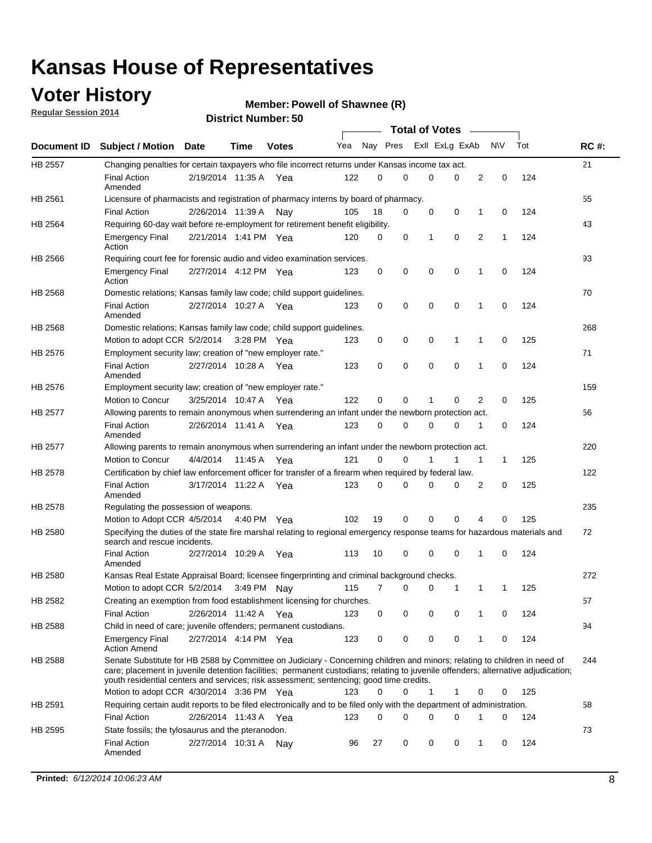### **Voter History**

**Regular Session 2014**

#### **Member: Powell of Shawnee (R)**

|                |                                                                                                                                                                                                                                                                                                                                                           |                       |             |              |     |          |   | <b>Total of Votes</b> |             |              |             |     |             |
|----------------|-----------------------------------------------------------------------------------------------------------------------------------------------------------------------------------------------------------------------------------------------------------------------------------------------------------------------------------------------------------|-----------------------|-------------|--------------|-----|----------|---|-----------------------|-------------|--------------|-------------|-----|-------------|
|                | Document ID Subject / Motion Date                                                                                                                                                                                                                                                                                                                         |                       | Time        | <b>Votes</b> | Yea | Nay Pres |   | Exll ExLg ExAb        |             |              | <b>NV</b>   | Tot | <b>RC#:</b> |
| <b>HB 2557</b> | Changing penalties for certain taxpayers who file incorrect returns under Kansas income tax act.                                                                                                                                                                                                                                                          |                       |             |              |     |          |   |                       |             |              |             |     | 21          |
|                | <b>Final Action</b><br>Amended                                                                                                                                                                                                                                                                                                                            | 2/19/2014 11:35 A     |             | Yea          | 122 | 0        | 0 | 0                     | 0           | 2            | $\mathbf 0$ | 124 |             |
| HB 2561        | Licensure of pharmacists and registration of pharmacy interns by board of pharmacy.                                                                                                                                                                                                                                                                       |                       |             |              |     |          |   |                       |             |              |             |     | 55          |
|                | <b>Final Action</b>                                                                                                                                                                                                                                                                                                                                       | 2/26/2014 11:39 A     |             | Nav          | 105 | 18       | 0 | 0                     | 0           | 1            | 0           | 124 |             |
| HB 2564        | Requiring 60-day wait before re-employment for retirement benefit eligibility.                                                                                                                                                                                                                                                                            |                       |             |              |     |          |   |                       |             |              |             |     | 43          |
|                | <b>Emergency Final</b><br>Action                                                                                                                                                                                                                                                                                                                          | 2/21/2014 1:41 PM Yea |             |              | 120 | 0        | 0 | 1                     | 0           | 2            | 1           | 124 |             |
| HB 2566        | Requiring court fee for forensic audio and video examination services.                                                                                                                                                                                                                                                                                    |                       |             |              |     |          |   |                       |             |              |             |     | 93          |
|                | <b>Emergency Final</b><br>Action                                                                                                                                                                                                                                                                                                                          | 2/27/2014 4:12 PM Yea |             |              | 123 | 0        | 0 | 0                     | $\mathbf 0$ | $\mathbf{1}$ | 0           | 124 |             |
| HB 2568        | Domestic relations; Kansas family law code; child support guidelines.                                                                                                                                                                                                                                                                                     |                       |             |              |     |          |   |                       |             |              |             |     | 70          |
|                | <b>Final Action</b><br>Amended                                                                                                                                                                                                                                                                                                                            | 2/27/2014 10:27 A     |             | Yea          | 123 | 0        | 0 | 0                     | $\mathbf 0$ | 1            | 0           | 124 |             |
| HB 2568        | Domestic relations; Kansas family law code; child support guidelines.                                                                                                                                                                                                                                                                                     |                       |             |              |     |          |   |                       |             |              |             |     | 268         |
|                | Motion to adopt CCR 5/2/2014                                                                                                                                                                                                                                                                                                                              |                       | 3:28 PM Yea |              | 123 | 0        | 0 | 0                     | 1           | 1            | $\mathbf 0$ | 125 |             |
| HB 2576        | Employment security law; creation of "new employer rate."                                                                                                                                                                                                                                                                                                 |                       |             |              |     |          |   |                       |             |              |             |     | 71          |
|                | <b>Final Action</b><br>Amended                                                                                                                                                                                                                                                                                                                            | 2/27/2014 10:28 A Yea |             |              | 123 | 0        | 0 | 0                     | 0           | 1            | 0           | 124 |             |
| HB 2576        | Employment security law; creation of "new employer rate."                                                                                                                                                                                                                                                                                                 |                       |             |              |     |          |   |                       |             |              |             |     | 159         |
|                | Motion to Concur                                                                                                                                                                                                                                                                                                                                          | 3/25/2014 10:47 A     |             | Yea          | 122 | 0        | 0 | 1                     | 0           | 2            | 0           | 125 |             |
| HB 2577        | Allowing parents to remain anonymous when surrendering an infant under the newborn protection act.                                                                                                                                                                                                                                                        |                       |             |              |     |          |   |                       |             |              |             |     | 56          |
|                | <b>Final Action</b><br>Amended                                                                                                                                                                                                                                                                                                                            | 2/26/2014 11:41 A Yea |             |              | 123 | $\Omega$ | 0 | 0                     | $\Omega$    | 1            | 0           | 124 |             |
| HB 2577        | Allowing parents to remain anonymous when surrendering an infant under the newborn protection act.                                                                                                                                                                                                                                                        |                       |             |              |     |          |   |                       |             |              |             |     | 220         |
|                | Motion to Concur                                                                                                                                                                                                                                                                                                                                          | 4/4/2014              | 11:45 A     | Yea          | 121 | $\Omega$ | 0 | 1                     | 1           | 1            | 1           | 125 |             |
| HB 2578        | Certification by chief law enforcement officer for transfer of a firearm when required by federal law.                                                                                                                                                                                                                                                    |                       |             |              |     |          |   |                       |             |              |             |     | 122         |
|                | <b>Final Action</b><br>Amended                                                                                                                                                                                                                                                                                                                            | 3/17/2014 11:22 A     |             | Yea          | 123 | $\Omega$ | 0 | 0                     | 0           | 2            | 0           | 125 |             |
| HB 2578        | Regulating the possession of weapons.                                                                                                                                                                                                                                                                                                                     |                       |             |              |     |          |   |                       |             |              |             |     | 235         |
|                | Motion to Adopt CCR 4/5/2014 4:40 PM Yea                                                                                                                                                                                                                                                                                                                  |                       |             |              | 102 | 19       | 0 | 0                     | 0           | 4            | 0           | 125 |             |
| HB 2580        | Specifying the duties of the state fire marshal relating to regional emergency response teams for hazardous materials and<br>search and rescue incidents.                                                                                                                                                                                                 |                       |             |              |     |          |   |                       |             |              |             |     | 72          |
|                | <b>Final Action</b><br>Amended                                                                                                                                                                                                                                                                                                                            | 2/27/2014 10:29 A     |             | Yea          | 113 | 10       | 0 | 0                     | $\mathbf 0$ | 1            | 0           | 124 |             |
| HB 2580        | Kansas Real Estate Appraisal Board; licensee fingerprinting and criminal background checks.                                                                                                                                                                                                                                                               |                       |             |              |     |          |   |                       |             |              |             |     | 272         |
|                | Motion to adopt CCR 5/2/2014                                                                                                                                                                                                                                                                                                                              |                       | 3:49 PM Nay |              | 115 | 7        | 0 | 0                     | 1           | 1            | 1           | 125 |             |
| HB 2582        | Creating an exemption from food establishment licensing for churches.                                                                                                                                                                                                                                                                                     |                       |             |              |     |          |   |                       |             |              |             |     | 57          |
|                | <b>Final Action</b>                                                                                                                                                                                                                                                                                                                                       | 2/26/2014 11:42 A Yea |             |              | 123 | 0        | 0 | 0                     | 0           |              | 0           | 124 |             |
| HB 2588        | Child in need of care; juvenile offenders; permanent custodians.                                                                                                                                                                                                                                                                                          |                       |             |              |     |          |   |                       |             |              |             |     | 94          |
|                | <b>Emergency Final</b><br><b>Action Amend</b>                                                                                                                                                                                                                                                                                                             | 2/27/2014 4:14 PM Yea |             |              | 123 | 0        | 0 | 0                     | 0           | 1            | 0           | 124 |             |
| HB 2588        | Senate Substitute for HB 2588 by Committee on Judiciary - Concerning children and minors; relating to children in need of<br>care; placement in juvenile detention facilities; permanent custodians; relating to juvenile offenders; alternative adjudication;<br>youth residential centers and services; risk assessment; sentencing; good time credits. |                       |             |              |     |          |   |                       |             |              |             |     | 244         |
|                | Motion to adopt CCR 4/30/2014 3:36 PM Yea                                                                                                                                                                                                                                                                                                                 |                       |             |              | 123 | 0        | 0 | 1                     | 1           | 0            | 0           | 125 |             |
| HB 2591        | Requiring certain audit reports to be filed electronically and to be filed only with the department of administration.                                                                                                                                                                                                                                    |                       |             |              |     |          |   |                       |             |              |             |     | 58          |
|                | <b>Final Action</b>                                                                                                                                                                                                                                                                                                                                       | 2/26/2014 11:43 A Yea |             |              | 123 | 0        | 0 | 0                     | 0           | 1            | 0           | 124 |             |
| HB 2595        | State fossils; the tylosaurus and the pteranodon.                                                                                                                                                                                                                                                                                                         |                       |             |              |     |          |   |                       |             |              |             |     | 73          |
|                | <b>Final Action</b><br>Amended                                                                                                                                                                                                                                                                                                                            | 2/27/2014 10:31 A Nay |             |              | 96  | 27       | 0 | 0                     | 0           | 1            | 0           | 124 |             |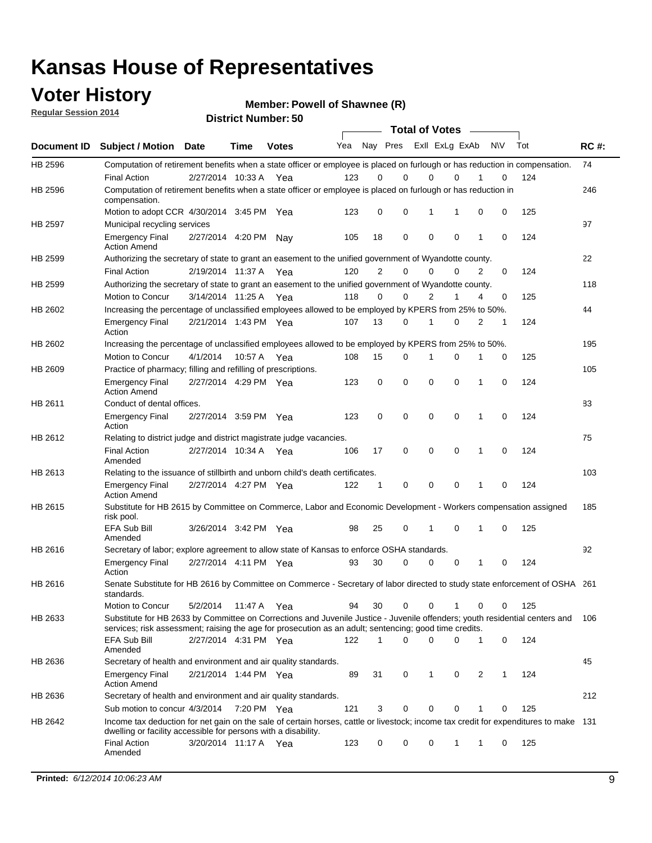### **Voter History**

**Regular Session 2014**

**Member: Powell of Shawnee (R)** 

|                |                                                                                                                                                                                                                                       |                       |             | DISTILICI MUITIDEL. 30 |     |                |             |             | <b>Total of Votes</b> |   |           |     |             |
|----------------|---------------------------------------------------------------------------------------------------------------------------------------------------------------------------------------------------------------------------------------|-----------------------|-------------|------------------------|-----|----------------|-------------|-------------|-----------------------|---|-----------|-----|-------------|
| Document ID    | <b>Subject / Motion</b>                                                                                                                                                                                                               | <b>Date</b>           | Time        | <b>Votes</b>           | Yea |                | Nay Pres    |             | Exll ExLg ExAb        |   | <b>NV</b> | Tot | <b>RC#:</b> |
| HB 2596        | Computation of retirement benefits when a state officer or employee is placed on furlough or has reduction in compensation.                                                                                                           |                       |             |                        |     |                |             |             |                       |   |           |     | 74          |
|                | <b>Final Action</b>                                                                                                                                                                                                                   | 2/27/2014 10:33 A     |             | Yea                    | 123 | 0              | $\Omega$    |             | 0<br>$\Omega$         |   | 0         | 124 |             |
| HB 2596        | Computation of retirement benefits when a state officer or employee is placed on furlough or has reduction in<br>compensation.                                                                                                        |                       |             |                        |     |                |             |             |                       |   |           |     | 246         |
|                | Motion to adopt CCR 4/30/2014 3:45 PM Yea                                                                                                                                                                                             |                       |             |                        | 123 | 0              | 0           | 1           | 1                     | 0 | 0         | 125 |             |
| <b>HB 2597</b> | Municipal recycling services                                                                                                                                                                                                          |                       |             |                        |     |                |             |             |                       |   |           |     | 97          |
|                | <b>Emergency Final</b><br><b>Action Amend</b>                                                                                                                                                                                         | 2/27/2014 4:20 PM     |             | Nav                    | 105 | 18             | $\mathbf 0$ | $\mathbf 0$ | $\mathbf 0$           | 1 | 0         | 124 |             |
| HB 2599        | Authorizing the secretary of state to grant an easement to the unified government of Wyandotte county.                                                                                                                                |                       |             |                        |     |                |             |             |                       |   |           |     | 22          |
|                | <b>Final Action</b>                                                                                                                                                                                                                   | 2/19/2014 11:37 A     |             | Yea                    | 120 | $\overline{2}$ | $\mathbf 0$ |             | 0<br>$\Omega$         | 2 | 0         | 124 |             |
| HB 2599        | Authorizing the secretary of state to grant an easement to the unified government of Wyandotte county.                                                                                                                                |                       |             |                        |     |                |             |             |                       |   |           |     | 118         |
|                | Motion to Concur                                                                                                                                                                                                                      | 3/14/2014 11:25 A     |             | Yea                    | 118 | $\Omega$       | 0           |             | $\overline{2}$<br>1   | 4 | 0         | 125 |             |
| HB 2602        | Increasing the percentage of unclassified employees allowed to be employed by KPERS from 25% to 50%.                                                                                                                                  |                       |             |                        |     |                |             |             |                       |   |           |     | 44          |
|                | <b>Emergency Final</b><br>Action                                                                                                                                                                                                      | 2/21/2014 1:43 PM Yea |             |                        | 107 | 13             | 0           | 1           | $\Omega$              | 2 | 1         | 124 |             |
| HB 2602        | Increasing the percentage of unclassified employees allowed to be employed by KPERS from 25% to 50%.                                                                                                                                  |                       |             |                        |     |                |             |             |                       |   |           |     | 195         |
|                | Motion to Concur                                                                                                                                                                                                                      | 4/1/2014              | 10:57 A Yea |                        | 108 | 15             | 0           | 1           | 0                     | 1 | 0         | 125 |             |
| HB 2609        | Practice of pharmacy; filling and refilling of prescriptions.                                                                                                                                                                         |                       |             |                        |     |                |             |             |                       |   |           |     | 105         |
|                | <b>Emergency Final</b><br><b>Action Amend</b>                                                                                                                                                                                         | 2/27/2014 4:29 PM Yea |             |                        | 123 | 0              | $\mathbf 0$ | $\mathbf 0$ | $\Omega$              | 1 | 0         | 124 |             |
| HB 2611        | Conduct of dental offices.                                                                                                                                                                                                            |                       |             |                        |     |                |             |             |                       |   |           |     | 83          |
|                | <b>Emergency Final</b><br>Action                                                                                                                                                                                                      | 2/27/2014 3:59 PM Yea |             |                        | 123 | 0              | $\mathbf 0$ | $\mathbf 0$ | $\mathbf 0$           | 1 | 0         | 124 |             |
| HB 2612        | Relating to district judge and district magistrate judge vacancies.                                                                                                                                                                   |                       |             |                        |     |                |             |             |                       |   |           |     | 75          |
|                | <b>Final Action</b><br>Amended                                                                                                                                                                                                        | 2/27/2014 10:34 A     |             | Yea                    | 106 | 17             | $\mathbf 0$ | $\mathbf 0$ | $\mathbf 0$           | 1 | 0         | 124 |             |
| HB 2613        | Relating to the issuance of stillbirth and unborn child's death certificates.                                                                                                                                                         |                       |             |                        |     |                |             |             |                       |   |           |     | 103         |
|                | <b>Emergency Final</b><br><b>Action Amend</b>                                                                                                                                                                                         | 2/27/2014 4:27 PM Yea |             |                        | 122 | 1              | 0           | $\mathbf 0$ | $\Omega$              | 1 | 0         | 124 |             |
| HB 2615        | Substitute for HB 2615 by Committee on Commerce, Labor and Economic Development - Workers compensation assigned<br>risk pool.                                                                                                         |                       |             |                        |     |                |             |             |                       |   |           |     | 185         |
|                | EFA Sub Bill<br>Amended                                                                                                                                                                                                               | 3/26/2014 3:42 PM Yea |             |                        | 98  | 25             | 0           | 1           | $\mathbf 0$           | 1 | 0         | 125 |             |
| HB 2616        | Secretary of labor; explore agreement to allow state of Kansas to enforce OSHA standards.                                                                                                                                             |                       |             |                        |     |                |             |             |                       |   |           |     | 92          |
|                | <b>Emergency Final</b><br>Action                                                                                                                                                                                                      | 2/27/2014 4:11 PM Yea |             |                        | 93  | 30             | 0           |             | 0<br>0                | 1 | 0         | 124 |             |
| HB 2616        | Senate Substitute for HB 2616 by Committee on Commerce - Secretary of labor directed to study state enforcement of OSHA 261<br>standards.                                                                                             |                       |             |                        |     |                |             |             |                       |   |           |     |             |
|                | Motion to Concur                                                                                                                                                                                                                      | 5/2/2014              | 11:47 A Yea |                        | 94  | 30             | 0           |             | 0<br>1                | 0 | 0         | 125 |             |
| HB 2633        | Substitute for HB 2633 by Committee on Corrections and Juvenile Justice - Juvenile offenders; youth residential centers and<br>services; risk assessment; raising the age for prosecution as an adult; sentencing; good time credits. |                       |             |                        |     |                |             |             |                       |   |           |     | 106         |
|                | EFA Sub Bill<br>Amended                                                                                                                                                                                                               | 2/27/2014 4:31 PM Yea |             |                        | 122 | 1              | 0           | $\mathbf 0$ | 0                     | 1 | 0         | 124 |             |
| HB 2636        | Secretary of health and environment and air quality standards.                                                                                                                                                                        |                       |             |                        |     |                |             |             |                       |   |           |     | 45          |
|                | <b>Emergency Final</b><br><b>Action Amend</b>                                                                                                                                                                                         | 2/21/2014 1:44 PM Yea |             |                        | 89  | 31             | 0           | 1           | 0                     | 2 | 1         | 124 |             |
| HB 2636        | Secretary of health and environment and air quality standards.                                                                                                                                                                        |                       |             |                        |     |                |             |             |                       |   |           |     | 212         |
|                | Sub motion to concur 4/3/2014                                                                                                                                                                                                         |                       | 7:20 PM Yea |                        | 121 | 3              | 0           | 0           | 0                     |   | 0         | 125 |             |
| HB 2642        | Income tax deduction for net gain on the sale of certain horses, cattle or livestock; income tax credit for expenditures to make 131<br>dwelling or facility accessible for persons with a disability.                                |                       |             |                        |     |                |             |             |                       |   |           |     |             |
|                | <b>Final Action</b><br>Amended                                                                                                                                                                                                        | 3/20/2014 11:17 A Yea |             |                        | 123 | 0              | 0           | 0           | 1                     | 1 | 0         | 125 |             |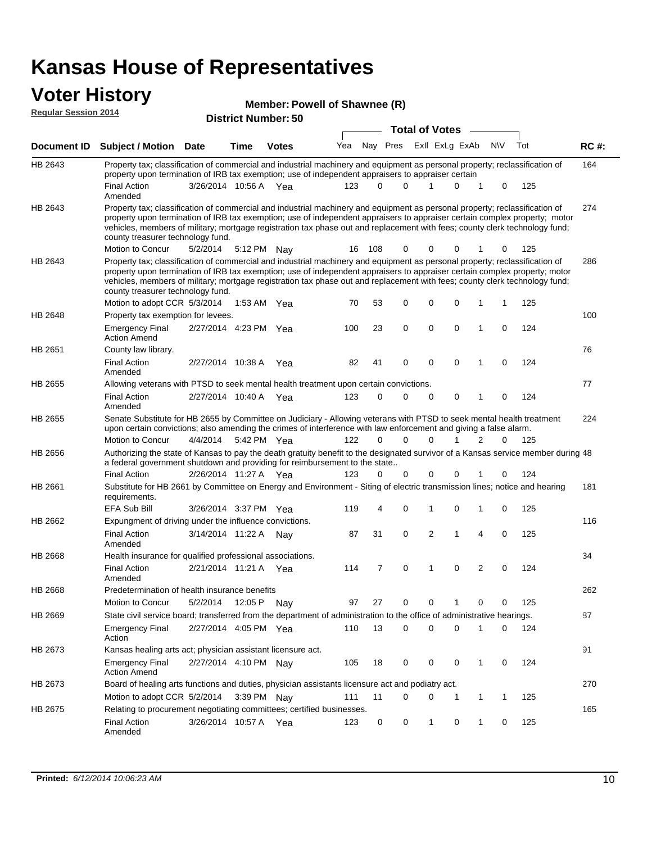#### **Voter History**

|                             |                                                                                                                                                                                                                                                                                                                                                                                                                               |                       |         | Member: Powell of Shawnee (R) |     |          |          |                       |   |                |             |     |       |
|-----------------------------|-------------------------------------------------------------------------------------------------------------------------------------------------------------------------------------------------------------------------------------------------------------------------------------------------------------------------------------------------------------------------------------------------------------------------------|-----------------------|---------|-------------------------------|-----|----------|----------|-----------------------|---|----------------|-------------|-----|-------|
| <b>Regular Session 2014</b> |                                                                                                                                                                                                                                                                                                                                                                                                                               |                       |         | <b>District Number: 50</b>    |     |          |          |                       |   |                |             |     |       |
|                             |                                                                                                                                                                                                                                                                                                                                                                                                                               |                       |         |                               |     |          |          | <b>Total of Votes</b> |   |                |             |     |       |
| Document ID                 | <b>Subject / Motion Date</b>                                                                                                                                                                                                                                                                                                                                                                                                  |                       | Time    | <b>Votes</b>                  | Yea | Nay Pres |          | Exll ExLg ExAb        |   | <b>NV</b>      |             | Tot | RC #: |
| HB 2643                     | Property tax; classification of commercial and industrial machinery and equipment as personal property; reclassification of<br>property upon termination of IRB tax exemption; use of independent appraisers to appraiser certain                                                                                                                                                                                             |                       |         |                               |     |          |          |                       |   |                |             |     | 164   |
|                             | <b>Final Action</b><br>Amended                                                                                                                                                                                                                                                                                                                                                                                                | 3/26/2014 10:56 A Yea |         |                               | 123 | $\Omega$ | $\Omega$ | 1                     | 0 | 1              | 0           | 125 |       |
| HB 2643                     | Property tax; classification of commercial and industrial machinery and equipment as personal property; reclassification of<br>property upon termination of IRB tax exemption; use of independent appraisers to appraiser certain complex property; motor<br>vehicles, members of military; mortgage registration tax phase out and replacement with fees; county clerk technology fund;<br>county treasurer technology fund. |                       |         |                               |     |          |          |                       |   |                |             |     | 274   |
|                             | Motion to Concur                                                                                                                                                                                                                                                                                                                                                                                                              | 5/2/2014              |         | 5:12 PM Nay                   | 16  | 108      | 0        | 0                     |   |                |             | 125 |       |
| HB 2643                     | Property tax; classification of commercial and industrial machinery and equipment as personal property; reclassification of<br>property upon termination of IRB tax exemption; use of independent appraisers to appraiser certain complex property; motor<br>vehicles, members of military; mortgage registration tax phase out and replacement with fees; county clerk technology fund;<br>county treasurer technology fund. |                       |         |                               |     |          |          |                       |   |                |             |     | 286   |
|                             | Motion to adopt CCR 5/3/2014                                                                                                                                                                                                                                                                                                                                                                                                  |                       |         | 1:53 AM Yea                   | 70  | 53       | 0        | 0                     | 0 | 1              | 1           | 125 |       |
| HB 2648                     | Property tax exemption for levees.                                                                                                                                                                                                                                                                                                                                                                                            |                       |         |                               |     |          |          |                       |   |                |             |     | 100   |
|                             | <b>Emergency Final</b><br><b>Action Amend</b>                                                                                                                                                                                                                                                                                                                                                                                 | 2/27/2014 4:23 PM Yea |         |                               | 100 | 23       | 0        | 0                     | 0 | 1              | 0           | 124 |       |
| HB 2651                     | County law library.                                                                                                                                                                                                                                                                                                                                                                                                           |                       |         |                               |     |          |          |                       |   |                |             |     | 76    |
|                             | <b>Final Action</b><br>Amended                                                                                                                                                                                                                                                                                                                                                                                                | 2/27/2014 10:38 A     |         | Yea                           | 82  | 41       | 0        | 0                     | 0 | 1              | $\mathbf 0$ | 124 |       |
| HB 2655                     | Allowing veterans with PTSD to seek mental health treatment upon certain convictions.                                                                                                                                                                                                                                                                                                                                         |                       |         |                               |     |          |          |                       |   |                |             |     | 77    |
|                             | <b>Final Action</b><br>Amended                                                                                                                                                                                                                                                                                                                                                                                                | 2/27/2014 10:40 A     |         | Yea                           | 123 | 0        | 0        | 0                     | 0 | 1              | 0           | 124 |       |
| HB 2655                     | Senate Substitute for HB 2655 by Committee on Judiciary - Allowing veterans with PTSD to seek mental health treatment<br>upon certain convictions; also amending the crimes of interference with law enforcement and giving a false alarm.                                                                                                                                                                                    |                       |         |                               |     |          |          |                       |   |                |             |     | 224   |
|                             | Motion to Concur                                                                                                                                                                                                                                                                                                                                                                                                              | 4/4/2014              |         | 5:42 PM Yea                   | 122 | 0        | $\Omega$ | 0                     |   | 2              | 0           | 125 |       |
| HB 2656                     | Authorizing the state of Kansas to pay the death gratuity benefit to the designated survivor of a Kansas service member during 48<br>a federal government shutdown and providing for reimbursement to the state                                                                                                                                                                                                               |                       |         |                               |     |          |          |                       |   |                |             |     |       |
|                             | <b>Final Action</b>                                                                                                                                                                                                                                                                                                                                                                                                           | 2/26/2014 11:27 A Yea |         |                               | 123 | 0        | 0        | 0                     | 0 |                | 0           | 124 |       |
| HB 2661                     | Substitute for HB 2661 by Committee on Energy and Environment - Siting of electric transmission lines; notice and hearing<br>requirements.                                                                                                                                                                                                                                                                                    |                       |         |                               |     |          |          |                       |   |                |             |     | 181   |
|                             | <b>EFA Sub Bill</b>                                                                                                                                                                                                                                                                                                                                                                                                           | 3/26/2014 3:37 PM Yea |         |                               | 119 | 4        | 0        | 1                     | 0 | 1              | 0           | 125 |       |
| HB 2662                     | Expungment of driving under the influence convictions.                                                                                                                                                                                                                                                                                                                                                                        |                       |         |                               |     |          |          |                       |   |                |             |     | 116   |
|                             | <b>Final Action</b><br>Amended                                                                                                                                                                                                                                                                                                                                                                                                | 3/14/2014 11:22 A     |         | Nav                           | 87  | 31       | 0        | 2                     | 1 | $\overline{4}$ | 0           | 125 |       |
| HB 2668                     | Health insurance for qualified professional associations.                                                                                                                                                                                                                                                                                                                                                                     |                       |         |                               |     |          |          |                       |   |                |             |     | 34    |
|                             | <b>Final Action</b><br>Amended                                                                                                                                                                                                                                                                                                                                                                                                | 2/21/2014 11:21 A Yea |         |                               | 114 | 7        | 0        | 1                     | 0 | 2              | 0           | 124 |       |
| HB 2668                     | Predetermination of health insurance benefits                                                                                                                                                                                                                                                                                                                                                                                 |                       |         |                               |     |          |          |                       |   |                |             |     | 262   |
|                             | Motion to Concur                                                                                                                                                                                                                                                                                                                                                                                                              | 5/2/2014              | 12:05 P | Nav                           | 97  | 27       | 0        | 0                     | 1 | 0              | 0           | 125 |       |
| HB 2669                     | State civil service board; transferred from the department of administration to the office of administrative hearings.                                                                                                                                                                                                                                                                                                        |                       |         |                               |     |          |          |                       |   |                |             |     | 87    |
|                             | <b>Emergency Final</b><br>Action                                                                                                                                                                                                                                                                                                                                                                                              | 2/27/2014 4:05 PM Yea |         |                               | 110 | 13       | 0        | 0                     | 0 | 1              | 0           | 124 |       |
| HB 2673                     | Kansas healing arts act; physician assistant licensure act.                                                                                                                                                                                                                                                                                                                                                                   |                       |         |                               |     |          |          |                       |   |                |             |     | 91    |
|                             | <b>Emergency Final</b><br><b>Action Amend</b>                                                                                                                                                                                                                                                                                                                                                                                 | 2/27/2014 4:10 PM Nay |         |                               | 105 | 18       | 0        | 0                     | 0 | $\mathbf{1}$   | 0           | 124 |       |
| HB 2673                     | Board of healing arts functions and duties, physician assistants licensure act and podiatry act.                                                                                                                                                                                                                                                                                                                              |                       |         |                               |     |          |          |                       |   |                |             |     | 270   |
|                             | Motion to adopt CCR 5/2/2014                                                                                                                                                                                                                                                                                                                                                                                                  |                       |         | 3:39 PM Nay                   | 111 | 11       | 0        | 0                     | 1 | 1              | 1           | 125 |       |

Final Action 3/26/2014 10:57 A Yea 123 0 0 1 0 125

Relating to procurement negotiating committees; certified businesses.

Amended

HB 2675

165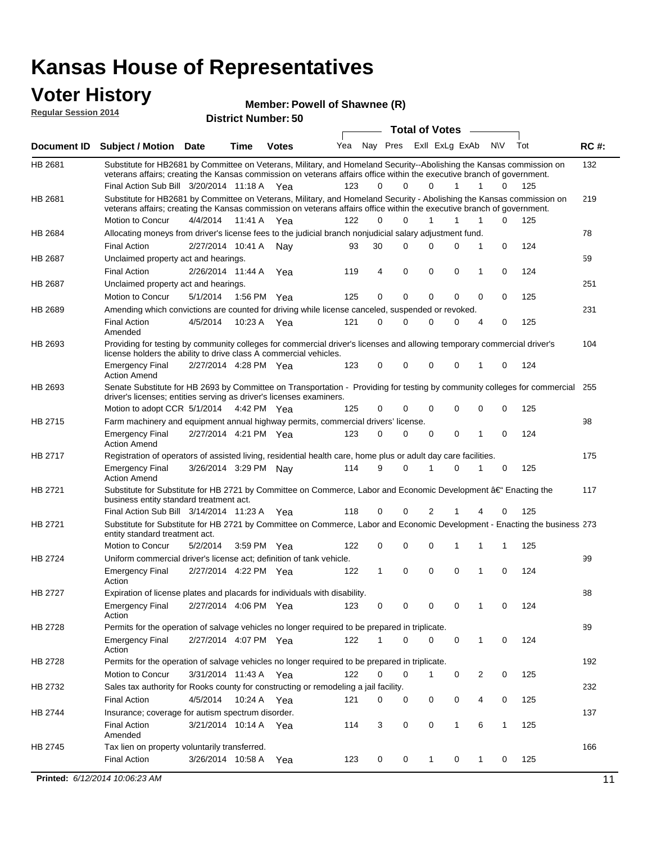#### **Voter History Regular Session 2014**

| Member: Powell of Shawnee (R) |  |
|-------------------------------|--|
|-------------------------------|--|

|                    |                                                                                                                                                                                                                                                                                               |                                                                                          |                       | <b>District Number: 50</b> |                                     |          |             |  |                       |                |                  |     |             |
|--------------------|-----------------------------------------------------------------------------------------------------------------------------------------------------------------------------------------------------------------------------------------------------------------------------------------------|------------------------------------------------------------------------------------------|-----------------------|----------------------------|-------------------------------------|----------|-------------|--|-----------------------|----------------|------------------|-----|-------------|
|                    |                                                                                                                                                                                                                                                                                               |                                                                                          |                       |                            |                                     |          |             |  | <b>Total of Votes</b> |                |                  |     |             |
| <b>Document ID</b> | <b>Subject / Motion Date</b>                                                                                                                                                                                                                                                                  |                                                                                          | Time                  | <b>Votes</b>               | Yea                                 |          | Nay Pres    |  |                       | ExII ExLg ExAb | N\V              | Tot | <b>RC#:</b> |
| HB 2681            | Substitute for HB2681 by Committee on Veterans, Military, and Homeland Security--Abolishing the Kansas commission on<br>veterans affairs; creating the Kansas commission on veterans affairs office within the executive branch of government.<br>Final Action Sub Bill 3/20/2014 11:18 A Yea |                                                                                          |                       |                            | 123                                 | 0        | $\Omega$    |  | $\Omega$              | 1              | 1<br>0           | 125 | 132         |
| HB 2681            | Substitute for HB2681 by Committee on Veterans, Military, and Homeland Security - Abolishing the Kansas commission on                                                                                                                                                                         |                                                                                          |                       |                            |                                     |          |             |  |                       |                |                  |     | 219         |
|                    | veterans affairs; creating the Kansas commission on veterans affairs office within the executive branch of government.                                                                                                                                                                        |                                                                                          |                       |                            |                                     |          |             |  |                       |                |                  |     |             |
|                    | Motion to Concur                                                                                                                                                                                                                                                                              | 4/4/2014                                                                                 | 11:41 A               | Yea                        | 122                                 | $\Omega$ | 0           |  | $\mathbf{1}$          | 1              | 1<br>0           | 125 |             |
| HB 2684            | Allocating moneys from driver's license fees to the judicial branch nonjudicial salary adjustment fund.                                                                                                                                                                                       |                                                                                          |                       |                            |                                     |          |             |  |                       |                |                  |     | 78          |
|                    | <b>Final Action</b>                                                                                                                                                                                                                                                                           |                                                                                          | 2/27/2014 10:41 A     | Nav                        | 93                                  | 30       | $\Omega$    |  | $\Omega$              | 0              | 1<br>0           | 124 |             |
| HB 2687            | Unclaimed property act and hearings.                                                                                                                                                                                                                                                          |                                                                                          |                       |                            |                                     |          |             |  |                       |                |                  |     | 59          |
|                    | <b>Final Action</b>                                                                                                                                                                                                                                                                           | $\mathbf 0$<br>$\mathbf 0$<br>2/26/2014 11:44 A<br>4<br>0<br>0<br>124<br>Yea<br>119<br>1 |                       |                            |                                     |          |             |  |                       |                |                  |     |             |
| HB 2687            | Unclaimed property act and hearings.                                                                                                                                                                                                                                                          |                                                                                          |                       |                            |                                     |          |             |  |                       |                |                  |     | 251         |
|                    | Motion to Concur                                                                                                                                                                                                                                                                              | 5/1/2014                                                                                 | 1:56 PM               | Yea                        | 125                                 | 0        | $\mathbf 0$ |  | 0                     | 0              | 0<br>0           | 125 |             |
| HB 2689            | Amending which convictions are counted for driving while license canceled, suspended or revoked.                                                                                                                                                                                              |                                                                                          |                       |                            |                                     |          |             |  |                       |                |                  |     | 231         |
|                    | <b>Final Action</b><br>Amended                                                                                                                                                                                                                                                                | 4/5/2014                                                                                 | 10:23 A               | Yea                        | 121                                 | 0        | $\Omega$    |  | $\Omega$              | 0              | 0<br>4           | 125 |             |
| HB 2693            | Providing for testing by community colleges for commercial driver's licenses and allowing temporary commercial driver's<br>license holders the ability to drive class A commercial vehicles.                                                                                                  |                                                                                          |                       |                            |                                     |          |             |  |                       |                |                  |     |             |
|                    | <b>Emergency Final</b><br><b>Action Amend</b>                                                                                                                                                                                                                                                 |                                                                                          | 2/27/2014 4:28 PM Yea |                            | 123                                 | 0        | 0           |  | $\Omega$              | 0              | $\mathbf 0$<br>1 | 124 |             |
| HB 2693            | Senate Substitute for HB 2693 by Committee on Transportation - Providing for testing by community colleges for commercial<br>driver's licenses; entities serving as driver's licenses examiners.                                                                                              |                                                                                          |                       |                            |                                     |          |             |  |                       |                |                  |     | 255         |
|                    | Motion to adopt CCR 5/1/2014 4:42 PM Yea                                                                                                                                                                                                                                                      |                                                                                          |                       |                            | 125                                 | 0        | 0           |  | $\Omega$              | 0              | 0<br>0           | 125 |             |
| HB 2715            | Farm machinery and equipment annual highway permits, commercial drivers' license.                                                                                                                                                                                                             |                                                                                          |                       |                            |                                     |          |             |  |                       |                |                  |     | 98          |
|                    | <b>Emergency Final</b><br><b>Action Amend</b>                                                                                                                                                                                                                                                 |                                                                                          | 2/27/2014 4:21 PM Yea |                            | 123                                 | 0        | 0           |  | 0                     | 0              | 1<br>0           | 124 |             |
| HB 2717            | Registration of operators of assisted living, residential health care, home plus or adult day care facilities.<br>3/26/2014 3:29 PM Nay                                                                                                                                                       |                                                                                          |                       |                            |                                     |          |             |  |                       |                | 175              |     |             |
|                    | <b>Emergency Final</b><br><b>Action Amend</b>                                                                                                                                                                                                                                                 |                                                                                          |                       |                            | 114                                 | 9        | $\Omega$    |  |                       | 0              | 0                | 125 |             |
| HB 2721            | Substitute for Substitute for HB 2721 by Committee on Commerce, Labor and Economic Development †Enacting the<br>business entity standard treatment act.                                                                                                                                       |                                                                                          |                       |                            |                                     |          |             |  |                       |                |                  |     | 117         |
|                    | Final Action Sub Bill 3/14/2014 11:23 A Yea                                                                                                                                                                                                                                                   |                                                                                          |                       |                            | 125<br>118<br>0<br>0<br>2<br>0<br>4 |          |             |  |                       |                |                  |     |             |
| HB 2721            | Substitute for Substitute for HB 2721 by Committee on Commerce, Labor and Economic Development - Enacting the business 273<br>entity standard treatment act.                                                                                                                                  |                                                                                          |                       |                            |                                     |          |             |  |                       |                |                  |     |             |
|                    | Motion to Concur                                                                                                                                                                                                                                                                              | 5/2/2014                                                                                 |                       | 3:59 PM Yea                | 122                                 | 0        | 0           |  | $\Omega$              |                | 1<br>1           | 125 |             |
| HB 2724            | Uniform commercial driver's license act; definition of tank vehicle.                                                                                                                                                                                                                          |                                                                                          |                       |                            |                                     |          |             |  |                       |                |                  |     | 99          |
|                    | <b>Emergency Final</b><br>Action                                                                                                                                                                                                                                                              |                                                                                          | 2/27/2014 4:22 PM Yea |                            | 122                                 | 1        | 0           |  | 0                     | 0              | 1<br>0           | 124 |             |
| HB 2727            | Expiration of license plates and placards for individuals with disability.                                                                                                                                                                                                                    |                                                                                          |                       |                            |                                     |          |             |  |                       |                |                  |     | 88          |
|                    | <b>Emergency Final</b><br>Action                                                                                                                                                                                                                                                              |                                                                                          | 2/27/2014 4:06 PM Yea |                            | 123                                 | 0        | 0           |  | 0                     | 0              | 0                | 124 |             |
| HB 2728            | Permits for the operation of salvage vehicles no longer required to be prepared in triplicate.                                                                                                                                                                                                |                                                                                          |                       |                            |                                     |          |             |  |                       |                |                  |     | 89          |
|                    | <b>Emergency Final</b><br>Action                                                                                                                                                                                                                                                              |                                                                                          | 2/27/2014 4:07 PM Yea |                            | 122                                 | 1        | 0           |  | $\Omega$              | 0              | 1<br>0           | 124 |             |
| HB 2728            | Permits for the operation of salvage vehicles no longer required to be prepared in triplicate.                                                                                                                                                                                                |                                                                                          |                       |                            |                                     |          |             |  |                       |                |                  |     | 192         |
|                    | Motion to Concur                                                                                                                                                                                                                                                                              |                                                                                          | 3/31/2014 11:43 A Yea |                            | 122                                 | 0        | 0           |  | 1                     | 0              | 2<br>0           | 125 |             |
| HB 2732            | Sales tax authority for Rooks county for constructing or remodeling a jail facility.                                                                                                                                                                                                          |                                                                                          |                       |                            |                                     |          |             |  |                       |                |                  |     | 232         |
|                    | <b>Final Action</b>                                                                                                                                                                                                                                                                           | 4/5/2014                                                                                 |                       | 10:24 A Yea                | 121                                 | 0        | 0           |  | 0                     | 0              | 4<br>0           | 125 |             |
| HB 2744            | Insurance; coverage for autism spectrum disorder.                                                                                                                                                                                                                                             |                                                                                          |                       |                            |                                     |          |             |  |                       |                |                  |     | 137         |
|                    | <b>Final Action</b>                                                                                                                                                                                                                                                                           |                                                                                          | 3/21/2014 10:14 A Yea |                            | 114                                 | 3        | 0           |  | 0                     | $\mathbf{1}$   | 6<br>1           | 125 |             |
|                    | Amended                                                                                                                                                                                                                                                                                       |                                                                                          |                       |                            |                                     |          |             |  |                       |                |                  |     |             |
| HB 2745            | Tax lien on property voluntarily transferred.                                                                                                                                                                                                                                                 |                                                                                          |                       |                            |                                     |          |             |  |                       |                |                  |     | 166         |
|                    | <b>Final Action</b>                                                                                                                                                                                                                                                                           |                                                                                          | 3/26/2014 10:58 A     | Yea                        | 123                                 | 0        | 0           |  | $\mathbf{1}$          | 0              | 1<br>0           | 125 |             |
|                    | Printed: 6/12/2014 10:06:23 AM                                                                                                                                                                                                                                                                |                                                                                          |                       |                            |                                     |          |             |  |                       |                |                  |     | 11          |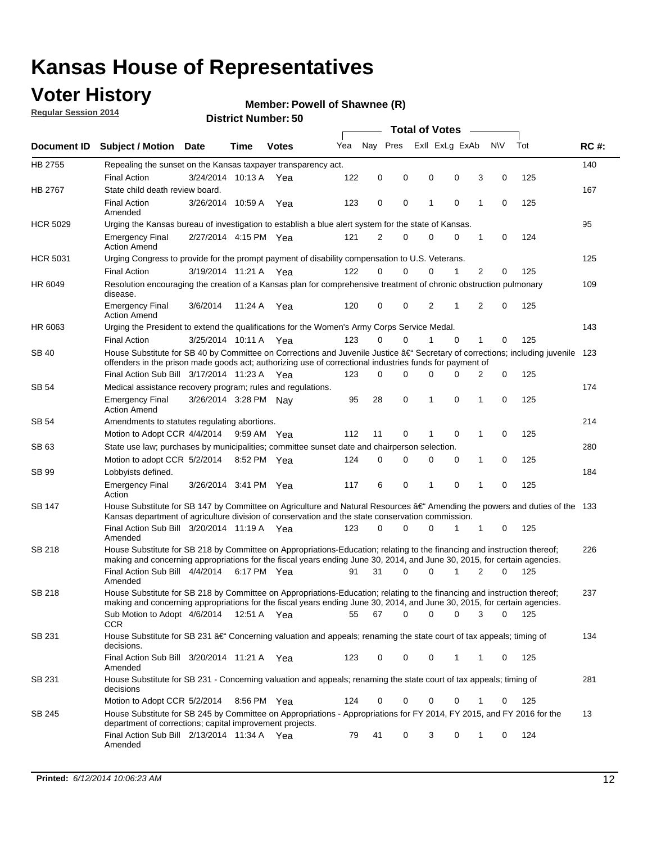### **Voter History**

**Regular Session 2014**

#### **Member: Powell of Shawnee (R)**

|                 |                                                                                                                                                                                                                                                      |                       |             |              |     | <b>Total of Votes</b> |          |                |             |   |             |     |             |
|-----------------|------------------------------------------------------------------------------------------------------------------------------------------------------------------------------------------------------------------------------------------------------|-----------------------|-------------|--------------|-----|-----------------------|----------|----------------|-------------|---|-------------|-----|-------------|
| Document ID     | <b>Subject / Motion Date</b>                                                                                                                                                                                                                         |                       | Time        | <b>Votes</b> | Yea | Nay Pres              |          | Exll ExLg ExAb |             |   | <b>NV</b>   | Tot | <b>RC#:</b> |
| HB 2755         | Repealing the sunset on the Kansas taxpayer transparency act.                                                                                                                                                                                        |                       |             |              |     |                       |          |                |             |   |             |     | 140         |
|                 | <b>Final Action</b>                                                                                                                                                                                                                                  | 3/24/2014 10:13 A     |             | Yea          | 122 | 0                     | 0        | 0              | 0           | 3 | $\mathbf 0$ | 125 |             |
| HB 2767         | State child death review board.                                                                                                                                                                                                                      |                       |             |              |     |                       |          |                |             |   |             |     | 167         |
|                 | <b>Final Action</b><br>Amended                                                                                                                                                                                                                       | 3/26/2014 10:59 A     |             | Yea          | 123 | 0                     | 0        | 1              | 0           | 1 | 0           | 125 |             |
| <b>HCR 5029</b> | Urging the Kansas bureau of investigation to establish a blue alert system for the state of Kansas.                                                                                                                                                  |                       |             |              |     |                       |          |                |             |   |             |     | 95          |
|                 | <b>Emergency Final</b><br><b>Action Amend</b>                                                                                                                                                                                                        | 2/27/2014 4:15 PM Yea |             |              | 121 | 2                     | 0        | 0              | 0           | 1 | 0           | 124 |             |
| <b>HCR 5031</b> | Urging Congress to provide for the prompt payment of disability compensation to U.S. Veterans.                                                                                                                                                       |                       |             |              |     |                       |          |                |             |   |             |     | 125         |
|                 | <b>Final Action</b>                                                                                                                                                                                                                                  | 3/19/2014 11:21 A Yea |             |              | 122 | $\Omega$              | $\Omega$ | 0              | 1           | 2 | 0           | 125 |             |
| HR 6049         | Resolution encouraging the creation of a Kansas plan for comprehensive treatment of chronic obstruction pulmonary<br>disease.                                                                                                                        |                       |             |              |     |                       |          |                |             |   |             |     | 109         |
|                 | <b>Emergency Final</b><br><b>Action Amend</b>                                                                                                                                                                                                        | 3/6/2014              | 11:24 A     | Yea          | 120 | $\mathbf 0$           | 0        | 2              | 1           | 2 | $\mathbf 0$ | 125 |             |
| HR 6063         | Urging the President to extend the qualifications for the Women's Army Corps Service Medal.                                                                                                                                                          |                       |             |              |     |                       |          |                |             |   |             |     | 143         |
|                 | <b>Final Action</b>                                                                                                                                                                                                                                  | 3/25/2014 10:11 A Yea |             |              | 123 | 0                     | $\Omega$ | 1              | $\Omega$    | 1 | 0           | 125 |             |
| <b>SB 40</b>    | House Substitute for SB 40 by Committee on Corrections and Juvenile Justice $\hat{a}\in$ Secretary of corrections; including juvenile 123<br>offenders in the prison made goods act; authorizing use of correctional industries funds for payment of |                       |             |              |     |                       |          |                |             |   |             |     |             |
|                 | Final Action Sub Bill 3/17/2014 11:23 A Yea                                                                                                                                                                                                          |                       |             |              | 123 | 0                     | 0        | 0              | 0           | 2 | 0           | 125 |             |
| SB 54           | Medical assistance recovery program; rules and regulations.                                                                                                                                                                                          |                       |             |              |     |                       |          |                |             |   |             |     | 174         |
|                 | <b>Emergency Final</b><br><b>Action Amend</b>                                                                                                                                                                                                        | 3/26/2014 3:28 PM Nay |             |              | 95  | 28                    | 0        | 1              | 0           | 1 | $\mathbf 0$ | 125 |             |
| SB 54           | Amendments to statutes regulating abortions.                                                                                                                                                                                                         |                       |             |              |     |                       |          |                |             |   |             |     | 214         |
|                 | Motion to Adopt CCR 4/4/2014                                                                                                                                                                                                                         |                       | 9:59 AM Yea |              | 112 | 11                    | 0        |                | $\mathbf 0$ | 1 | $\mathbf 0$ | 125 |             |
| SB 63           | State use law; purchases by municipalities; committee sunset date and chairperson selection.                                                                                                                                                         |                       |             |              |     |                       |          |                |             |   |             | 280 |             |
|                 | Motion to adopt CCR 5/2/2014                                                                                                                                                                                                                         |                       | 8:52 PM Yea |              | 124 | $\mathbf 0$           | 0        | 0              | 0           | 1 | $\mathbf 0$ | 125 |             |
| SB 99           | Lobbyists defined.                                                                                                                                                                                                                                   |                       |             |              |     |                       |          |                |             |   |             |     | 184         |
|                 | <b>Emergency Final</b><br>Action                                                                                                                                                                                                                     | 3/26/2014 3:41 PM Yea |             |              | 117 | 6                     | 0        | 1              | 0           | 1 | $\mathbf 0$ | 125 |             |
| SB 147          | House Substitute for SB 147 by Committee on Agriculture and Natural Resources †Amending the powers and duties of the 133<br>Kansas department of agriculture division of conservation and the state conservation commission.                         |                       |             |              |     |                       |          |                |             |   |             |     |             |
|                 | Final Action Sub Bill 3/20/2014 11:19 A Yea<br>Amended                                                                                                                                                                                               |                       |             |              | 123 | $\Omega$              | $\Omega$ | 0              | 1           | 1 | 0           | 125 |             |
| <b>SB 218</b>   | House Substitute for SB 218 by Committee on Appropriations-Education; relating to the financing and instruction thereof;<br>making and concerning appropriations for the fiscal years ending June 30, 2014, and June 30, 2015, for certain agencies. |                       |             |              |     |                       |          |                |             |   |             |     | 226         |
|                 | Final Action Sub Bill 4/4/2014 6:17 PM Yea<br>Amended                                                                                                                                                                                                |                       |             |              | 91  | 31                    | $\Omega$ | $\Omega$       | 1           | 2 | $\Omega$    | 125 |             |
| <b>SB 218</b>   | House Substitute for SB 218 by Committee on Appropriations-Education; relating to the financing and instruction thereof;                                                                                                                             |                       |             |              |     |                       |          |                |             |   |             |     | 237         |
|                 | making and concerning appropriations for the fiscal years ending June 30, 2014, and June 30, 2015, for certain agencies.<br>Sub Motion to Adopt 4/6/2014 12:51 A Yea<br><b>CCR</b>                                                                   |                       |             |              | 55  | 67                    | 0        | 0              | 0           | 3 | 0           | 125 |             |
| SB 231          | House Substitute for SB 231 †Concerning valuation and appeals; renaming the state court of tax appeals; timing of<br>decisions.                                                                                                                      |                       |             |              |     |                       |          |                |             |   |             |     | 134         |
|                 | Final Action Sub Bill 3/20/2014 11:21 A Yea<br>Amended                                                                                                                                                                                               |                       |             |              | 123 | 0                     | 0        | 0              | 1           | 1 | 0           | 125 |             |
| SB 231          | House Substitute for SB 231 - Concerning valuation and appeals; renaming the state court of tax appeals; timing of<br>decisions                                                                                                                      |                       |             |              |     |                       |          |                |             |   |             |     | 281         |
|                 | Motion to Adopt CCR 5/2/2014 8:56 PM Yea                                                                                                                                                                                                             |                       |             |              | 124 | 0                     | 0        | 0              | 0           | 1 | 0           | 125 |             |
| SB 245          | House Substitute for SB 245 by Committee on Appropriations - Appropriations for FY 2014, FY 2015, and FY 2016 for the<br>department of corrections; capital improvement projects.                                                                    |                       |             |              |     |                       |          |                |             |   |             |     | 13          |
|                 | Final Action Sub Bill 2/13/2014 11:34 A Yea<br>Amended                                                                                                                                                                                               |                       |             |              | 79  | 41                    | 0        | 3              | 0           | 1 | 0           | 124 |             |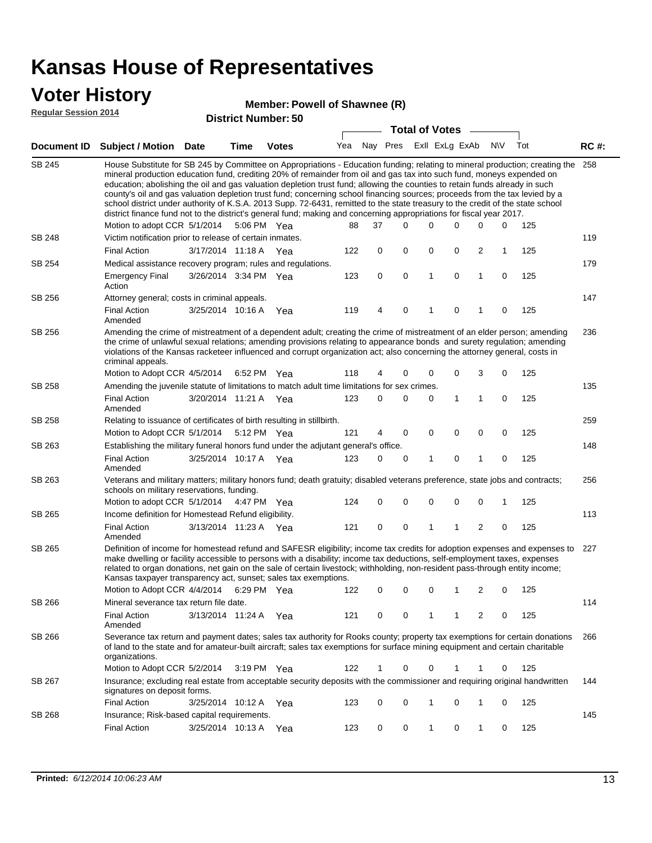### **Voter History**

#### **Member: Powell of Shawnee (R)**

**Regular Session 2014**

|               |                                                                                                                                                                                                                                                                                                                                                                                                                                                                                                                                                                                                                                                                                                                                                                                                               |                       |      | DISTICT MAILIDEL, 30 |     |          |   | <b>Total of Votes</b> |              |                |                         |           |     |             |
|---------------|---------------------------------------------------------------------------------------------------------------------------------------------------------------------------------------------------------------------------------------------------------------------------------------------------------------------------------------------------------------------------------------------------------------------------------------------------------------------------------------------------------------------------------------------------------------------------------------------------------------------------------------------------------------------------------------------------------------------------------------------------------------------------------------------------------------|-----------------------|------|----------------------|-----|----------|---|-----------------------|--------------|----------------|-------------------------|-----------|-----|-------------|
|               | Document ID Subject / Motion                                                                                                                                                                                                                                                                                                                                                                                                                                                                                                                                                                                                                                                                                                                                                                                  | Date                  | Time | <b>Votes</b>         | Yea | Nay Pres |   |                       |              | Exll ExLg ExAb |                         | <b>NV</b> | Tot | <b>RC#:</b> |
| <b>SB 245</b> | House Substitute for SB 245 by Committee on Appropriations - Education funding; relating to mineral production; creating the<br>mineral production education fund, crediting 20% of remainder from oil and gas tax into such fund, moneys expended on<br>education; abolishing the oil and gas valuation depletion trust fund; allowing the counties to retain funds already in such<br>county's oil and gas valuation depletion trust fund; concerning school financing sources; proceeds from the tax levied by a<br>school district under authority of K.S.A. 2013 Supp. 72-6431, remitted to the state treasury to the credit of the state school<br>district finance fund not to the district's general fund; making and concerning appropriations for fiscal year 2017.<br>Motion to adopt CCR 5/1/2014 |                       |      | 5:06 PM Yea          | 88  | 37       |   | $\Omega$              | 0            | 0              | 0                       | 0         | 125 | 258         |
| SB 248        | Victim notification prior to release of certain inmates.                                                                                                                                                                                                                                                                                                                                                                                                                                                                                                                                                                                                                                                                                                                                                      |                       |      |                      |     |          |   |                       |              |                |                         |           |     | 119         |
|               | <b>Final Action</b>                                                                                                                                                                                                                                                                                                                                                                                                                                                                                                                                                                                                                                                                                                                                                                                           | 3/17/2014 11:18 A Yea |      |                      | 122 |          | 0 | 0                     | 0            | 0              | $\overline{2}$          | 1         | 125 |             |
| SB 254        | Medical assistance recovery program; rules and regulations.                                                                                                                                                                                                                                                                                                                                                                                                                                                                                                                                                                                                                                                                                                                                                   |                       |      |                      |     |          |   |                       |              |                |                         |           |     | 179         |
|               | <b>Emergency Final</b><br>Action                                                                                                                                                                                                                                                                                                                                                                                                                                                                                                                                                                                                                                                                                                                                                                              | 3/26/2014 3:34 PM Yea |      |                      | 123 |          | 0 | 0                     | $\mathbf{1}$ | 0              | $\mathbf{1}$            | 0         | 125 |             |
| SB 256        | Attorney general; costs in criminal appeals.                                                                                                                                                                                                                                                                                                                                                                                                                                                                                                                                                                                                                                                                                                                                                                  |                       |      |                      |     |          |   |                       |              |                |                         |           |     | 147         |
|               | <b>Final Action</b><br>Amended                                                                                                                                                                                                                                                                                                                                                                                                                                                                                                                                                                                                                                                                                                                                                                                | 3/25/2014 10:16 A     |      | Yea                  | 119 |          | 4 | 0                     | 1            | 0              | 1                       | 0         | 125 |             |
| SB 256        | Amending the crime of mistreatment of a dependent adult; creating the crime of mistreatment of an elder person; amending<br>the crime of unlawful sexual relations; amending provisions relating to appearance bonds and surety regulation; amending<br>violations of the Kansas racketeer influenced and corrupt organization act; also concerning the attorney general, costs in<br>criminal appeals.                                                                                                                                                                                                                                                                                                                                                                                                       |                       |      |                      |     |          |   |                       |              |                |                         |           |     | 236         |
|               | Motion to Adopt CCR 4/5/2014 6:52 PM Yea                                                                                                                                                                                                                                                                                                                                                                                                                                                                                                                                                                                                                                                                                                                                                                      |                       |      |                      | 118 |          | 4 | 0                     | 0            | 0              | 3                       | 0         | 125 |             |
| SB 258        | Amending the juvenile statute of limitations to match adult time limitations for sex crimes.                                                                                                                                                                                                                                                                                                                                                                                                                                                                                                                                                                                                                                                                                                                  |                       |      |                      |     |          |   |                       |              |                |                         |           |     | 135         |
|               | <b>Final Action</b><br>Amended                                                                                                                                                                                                                                                                                                                                                                                                                                                                                                                                                                                                                                                                                                                                                                                | 3/20/2014 11:21 A Yea |      |                      | 123 |          | 0 | 0                     | 0            | 1              | 1                       | 0         | 125 |             |
| SB 258        | Relating to issuance of certificates of birth resulting in stillbirth.                                                                                                                                                                                                                                                                                                                                                                                                                                                                                                                                                                                                                                                                                                                                        |                       |      |                      |     |          |   |                       |              |                |                         |           |     | 259         |
|               | Motion to Adopt CCR 5/1/2014 5:12 PM Yea                                                                                                                                                                                                                                                                                                                                                                                                                                                                                                                                                                                                                                                                                                                                                                      |                       |      |                      | 121 |          | 4 | 0                     | 0            | $\mathbf 0$    | 0                       | 0         | 125 |             |
| SB 263        | Establishing the military funeral honors fund under the adjutant general's office.                                                                                                                                                                                                                                                                                                                                                                                                                                                                                                                                                                                                                                                                                                                            |                       |      |                      |     |          |   |                       |              |                |                         |           |     | 148         |
|               | <b>Final Action</b><br>Amended                                                                                                                                                                                                                                                                                                                                                                                                                                                                                                                                                                                                                                                                                                                                                                                | 3/25/2014 10:17 A Yea |      |                      | 123 |          | 0 | 0                     | 1            | 0              | 1                       | 0         | 125 |             |
| SB 263        | Veterans and military matters; military honors fund; death gratuity; disabled veterans preference, state jobs and contracts;<br>schools on military reservations, funding.                                                                                                                                                                                                                                                                                                                                                                                                                                                                                                                                                                                                                                    |                       |      |                      |     |          |   |                       |              |                |                         |           |     | 256         |
|               | Motion to adopt CCR 5/1/2014 4:47 PM Yea                                                                                                                                                                                                                                                                                                                                                                                                                                                                                                                                                                                                                                                                                                                                                                      |                       |      |                      | 124 |          | 0 | 0                     | 0            | 0              | $\mathbf 0$             | 1         | 125 |             |
| SB 265        | Income definition for Homestead Refund eligibility.                                                                                                                                                                                                                                                                                                                                                                                                                                                                                                                                                                                                                                                                                                                                                           |                       |      |                      |     |          |   |                       |              |                |                         |           |     | 113         |
|               | <b>Final Action</b><br>Amended                                                                                                                                                                                                                                                                                                                                                                                                                                                                                                                                                                                                                                                                                                                                                                                | 3/13/2014 11:23 A Yea |      |                      | 121 |          | 0 | 0                     | 1            | 1              | $\overline{\mathbf{c}}$ | 0         | 125 |             |
| SB 265        | Definition of income for homestead refund and SAFESR eligibility; income tax credits for adoption expenses and expenses to<br>make dwelling or facility accessible to persons with a disability; income tax deductions, self-employment taxes, expenses<br>related to organ donations, net gain on the sale of certain livestock; withholding, non-resident pass-through entity income;<br>Kansas taxpayer transparency act, sunset; sales tax exemptions.<br>Motion to Adopt CCR 4/4/2014<br>2<br>125<br>6:29 PM Yea<br>122<br>0<br>0<br>0<br>1<br>0                                                                                                                                                                                                                                                         |                       |      |                      |     |          |   |                       |              |                | 227                     |           |     |             |
| SB 266        | Mineral severance tax return file date.                                                                                                                                                                                                                                                                                                                                                                                                                                                                                                                                                                                                                                                                                                                                                                       |                       |      |                      |     |          |   |                       |              |                |                         |           |     | 114         |
|               | <b>Final Action</b><br>Amended                                                                                                                                                                                                                                                                                                                                                                                                                                                                                                                                                                                                                                                                                                                                                                                | 3/13/2014 11:24 A     |      | Yea                  | 121 |          | 0 | 0                     | 1            | 1              | 2                       | 0         | 125 |             |
| SB 266        | Severance tax return and payment dates; sales tax authority for Rooks county; property tax exemptions for certain donations<br>of land to the state and for amateur-built aircraft; sales tax exemptions for surface mining equipment and certain charitable<br>organizations.                                                                                                                                                                                                                                                                                                                                                                                                                                                                                                                                |                       |      |                      |     |          |   |                       |              |                |                         |           |     | 266         |
|               | Motion to Adopt CCR 5/2/2014                                                                                                                                                                                                                                                                                                                                                                                                                                                                                                                                                                                                                                                                                                                                                                                  |                       |      | 3:19 PM Yea          | 122 |          | 1 | 0                     | 0            | 1              | 1                       | 0         | 125 |             |
| SB 267        | Insurance; excluding real estate from acceptable security deposits with the commissioner and requiring original handwritten<br>signatures on deposit forms.                                                                                                                                                                                                                                                                                                                                                                                                                                                                                                                                                                                                                                                   |                       |      |                      |     |          |   |                       |              |                |                         |           |     | 144         |
|               | <b>Final Action</b>                                                                                                                                                                                                                                                                                                                                                                                                                                                                                                                                                                                                                                                                                                                                                                                           | 3/25/2014 10:12 A     |      | Yea                  | 123 |          | 0 | 0                     | 1            | 0              | 1                       | 0         | 125 |             |
| SB 268        | Insurance; Risk-based capital requirements.                                                                                                                                                                                                                                                                                                                                                                                                                                                                                                                                                                                                                                                                                                                                                                   |                       |      |                      |     |          |   |                       |              |                |                         |           |     | 145         |
|               | <b>Final Action</b>                                                                                                                                                                                                                                                                                                                                                                                                                                                                                                                                                                                                                                                                                                                                                                                           | 3/25/2014 10:13 A     |      | Yea                  | 123 |          | 0 | 0                     | 1            | 0              | 1                       | 0         | 125 |             |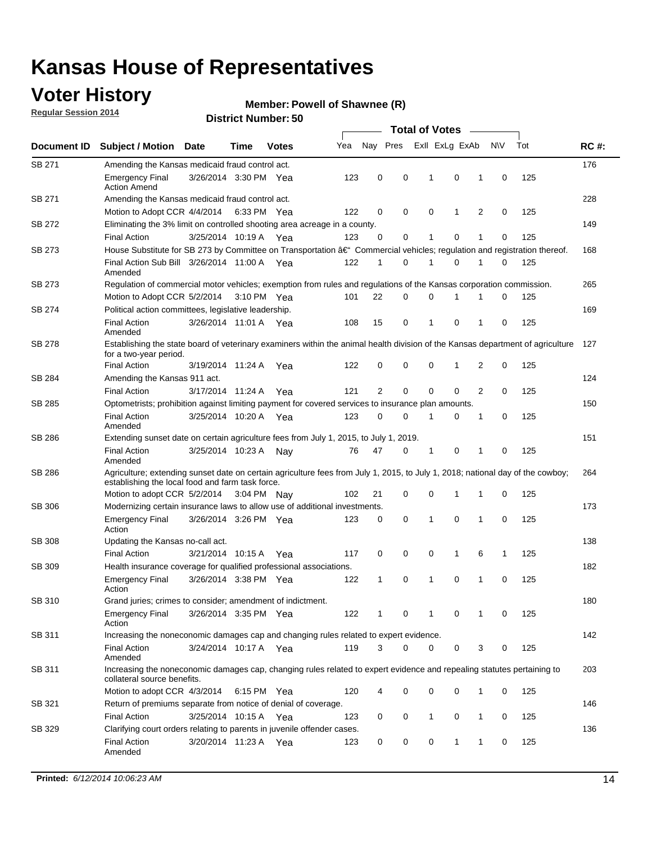### **Voter History**

**Regular Session 2014**

#### **Member: Powell of Shawnee (R)**

|               |                                                                                                                                                                                    |                       |             |              |     | <b>Total of Votes</b> |          |  |                |              |   |             |     |             |  |  |  |  |  |  |
|---------------|------------------------------------------------------------------------------------------------------------------------------------------------------------------------------------|-----------------------|-------------|--------------|-----|-----------------------|----------|--|----------------|--------------|---|-------------|-----|-------------|--|--|--|--|--|--|
| Document ID   | <b>Subject / Motion</b>                                                                                                                                                            | <b>Date</b><br>Time   |             | <b>Votes</b> |     | Nay Pres              |          |  | Exll ExLg ExAb |              |   | <b>NV</b>   | Tot | <b>RC#:</b> |  |  |  |  |  |  |
| SB 271        | Amending the Kansas medicaid fraud control act.                                                                                                                                    |                       |             |              |     |                       |          |  |                |              |   |             |     | 176         |  |  |  |  |  |  |
|               | <b>Emergency Final</b><br><b>Action Amend</b>                                                                                                                                      | 3/26/2014 3:30 PM Yea |             |              | 123 | 0                     | 0        |  | 1              | $\mathbf 0$  | 1 | $\mathbf 0$ | 125 |             |  |  |  |  |  |  |
| SB 271        | Amending the Kansas medicaid fraud control act.                                                                                                                                    |                       |             |              |     |                       |          |  |                |              |   |             |     | 228         |  |  |  |  |  |  |
|               | Motion to Adopt CCR 4/4/2014 6:33 PM Yea                                                                                                                                           |                       |             |              | 122 | 0                     | 0        |  | $\mathbf 0$    | 1            | 2 | $\mathbf 0$ | 125 |             |  |  |  |  |  |  |
| SB 272        | Eliminating the 3% limit on controlled shooting area acreage in a county.                                                                                                          |                       |             |              |     |                       |          |  |                |              |   |             |     | 149         |  |  |  |  |  |  |
|               | <b>Final Action</b>                                                                                                                                                                | 3/25/2014 10:19 A Yea |             |              | 123 | $\Omega$              | 0        |  | 1              | 0            | 1 | $\mathbf 0$ | 125 |             |  |  |  |  |  |  |
| SB 273        | House Substitute for SB 273 by Committee on Transportation †Commercial vehicles; regulation and registration thereof.                                                              |                       |             |              |     |                       |          |  |                |              |   |             |     | 168         |  |  |  |  |  |  |
|               | Final Action Sub Bill 3/26/2014 11:00 A Yea<br>Amended                                                                                                                             |                       |             |              | 122 | 1                     | 0        |  | 1              | 0            | 1 | 0           | 125 |             |  |  |  |  |  |  |
| SB 273        | Regulation of commercial motor vehicles; exemption from rules and regulations of the Kansas corporation commission.                                                                |                       |             |              |     |                       |          |  |                |              |   |             |     | 265         |  |  |  |  |  |  |
|               | Motion to Adopt CCR 5/2/2014                                                                                                                                                       |                       | 3:10 PM Yea |              | 101 | 22                    | 0        |  | 0              |              |   | 0           | 125 |             |  |  |  |  |  |  |
| SB 274        | Political action committees, legislative leadership.                                                                                                                               |                       |             |              |     |                       |          |  |                |              |   |             |     | 169         |  |  |  |  |  |  |
|               | <b>Final Action</b><br>Amended                                                                                                                                                     | 3/26/2014 11:01 A Yea |             |              | 108 | 15                    | 0        |  | 1              | 0            | 1 | 0           | 125 |             |  |  |  |  |  |  |
| <b>SB 278</b> | Establishing the state board of veterinary examiners within the animal health division of the Kansas department of agriculture<br>for a two-year period.                           |                       |             |              |     |                       |          |  |                |              |   |             |     | 127         |  |  |  |  |  |  |
|               | <b>Final Action</b>                                                                                                                                                                | 3/19/2014 11:24 A     |             | Yea          | 122 | 0                     | 0        |  | $\mathbf 0$    | 1            | 2 | 0           | 125 |             |  |  |  |  |  |  |
| SB 284        | Amending the Kansas 911 act.                                                                                                                                                       |                       |             |              |     |                       |          |  |                |              |   |             |     | 124         |  |  |  |  |  |  |
|               | <b>Final Action</b>                                                                                                                                                                | 3/17/2014 11:24 A     |             | Yea          | 121 | 2                     | 0        |  | 0              | 0            | 2 | 0           | 125 |             |  |  |  |  |  |  |
| SB 285        | Optometrists; prohibition against limiting payment for covered services to insurance plan amounts.                                                                                 |                       |             |              |     |                       |          |  |                |              |   |             |     | 150         |  |  |  |  |  |  |
|               | <b>Final Action</b><br>Amended                                                                                                                                                     | 3/25/2014 10:20 A Yea |             |              | 123 | 0                     | 0        |  | 1              | 0            | 1 | 0           | 125 |             |  |  |  |  |  |  |
| SB 286        | Extending sunset date on certain agriculture fees from July 1, 2015, to July 1, 2019.                                                                                              |                       |             |              |     |                       |          |  |                |              |   |             |     | 151         |  |  |  |  |  |  |
|               | <b>Final Action</b><br>Amended                                                                                                                                                     | 3/25/2014 10:23 A     |             | Nav          | 76  | 47                    | 0        |  | 1              | 0            | 1 | $\mathbf 0$ | 125 |             |  |  |  |  |  |  |
| SB 286        | Agriculture; extending sunset date on certain agriculture fees from July 1, 2015, to July 1, 2018; national day of the cowboy;<br>establishing the local food and farm task force. |                       |             |              |     |                       |          |  |                |              |   |             |     | 264         |  |  |  |  |  |  |
|               | Motion to adopt CCR 5/2/2014 3:04 PM Nav                                                                                                                                           |                       |             |              | 102 | 21                    | 0        |  | 0              | 1            | 1 | 0           | 125 |             |  |  |  |  |  |  |
| SB 306        | Modernizing certain insurance laws to allow use of additional investments.                                                                                                         |                       |             |              |     |                       |          |  |                |              |   |             |     | 173         |  |  |  |  |  |  |
|               | Emergency Final<br>Action                                                                                                                                                          | 3/26/2014 3:26 PM Yea |             |              | 123 | 0                     | 0        |  | 1              | $\mathbf 0$  | 1 | $\mathbf 0$ | 125 |             |  |  |  |  |  |  |
| <b>SB 308</b> | Updating the Kansas no-call act.                                                                                                                                                   |                       |             |              |     |                       |          |  |                |              |   |             |     | 138         |  |  |  |  |  |  |
|               | <b>Final Action</b>                                                                                                                                                                | 3/21/2014 10:15 A     |             | Yea          | 117 | 0                     | 0        |  | 0              | $\mathbf{1}$ | 6 | 1           | 125 |             |  |  |  |  |  |  |
| SB 309        | Health insurance coverage for qualified professional associations.                                                                                                                 |                       |             |              |     |                       |          |  |                |              |   |             |     | 182         |  |  |  |  |  |  |
|               | <b>Emergency Final</b><br>Action                                                                                                                                                   | 3/26/2014 3:38 PM Yea |             |              | 122 | 1                     | 0        |  | $\mathbf{1}$   | 0            | 1 | $\mathbf 0$ | 125 |             |  |  |  |  |  |  |
| SB 310        | Grand juries; crimes to consider; amendment of indictment.                                                                                                                         |                       |             |              |     |                       |          |  |                |              |   |             |     | 180         |  |  |  |  |  |  |
|               | <b>Emergency Final</b><br>Action                                                                                                                                                   | 3/26/2014 3:35 PM Yea |             |              | 122 | 1                     | 0        |  | 1              | 0            | 1 | 0           | 125 |             |  |  |  |  |  |  |
| SB 311        | Increasing the noneconomic damages cap and changing rules related to expert evidence.                                                                                              |                       |             |              |     |                       |          |  |                |              |   |             |     | 142         |  |  |  |  |  |  |
|               | <b>Final Action</b><br>Amended                                                                                                                                                     | 3/24/2014 10:17 A Yea |             |              | 119 | 3                     | $\Omega$ |  | 0              | 0            | 3 | 0           | 125 |             |  |  |  |  |  |  |
| SB 311        | Increasing the noneconomic damages cap, changing rules related to expert evidence and repealing statutes pertaining to<br>collateral source benefits.                              |                       |             |              |     |                       |          |  |                |              |   |             |     | 203         |  |  |  |  |  |  |
|               | Motion to adopt CCR 4/3/2014 6:15 PM Yea                                                                                                                                           |                       |             |              | 120 | 4                     | 0        |  | 0              | 0            | 1 | 0           | 125 |             |  |  |  |  |  |  |
| SB 321        | Return of premiums separate from notice of denial of coverage.                                                                                                                     |                       |             |              |     |                       |          |  |                |              |   |             |     | 146         |  |  |  |  |  |  |
|               | <b>Final Action</b>                                                                                                                                                                | 3/25/2014 10:15 A Yea |             |              | 123 | 0                     | 0        |  | $\mathbf{1}$   | 0            | 1 | 0           | 125 |             |  |  |  |  |  |  |
| SB 329        | Clarifying court orders relating to parents in juvenile offender cases.                                                                                                            |                       |             |              |     |                       |          |  |                |              |   |             |     | 136         |  |  |  |  |  |  |
|               | <b>Final Action</b><br>Amended                                                                                                                                                     | 3/20/2014 11:23 A Yea |             |              | 123 | 0                     | 0        |  | 0              | $\mathbf{1}$ | 1 | 0           | 125 |             |  |  |  |  |  |  |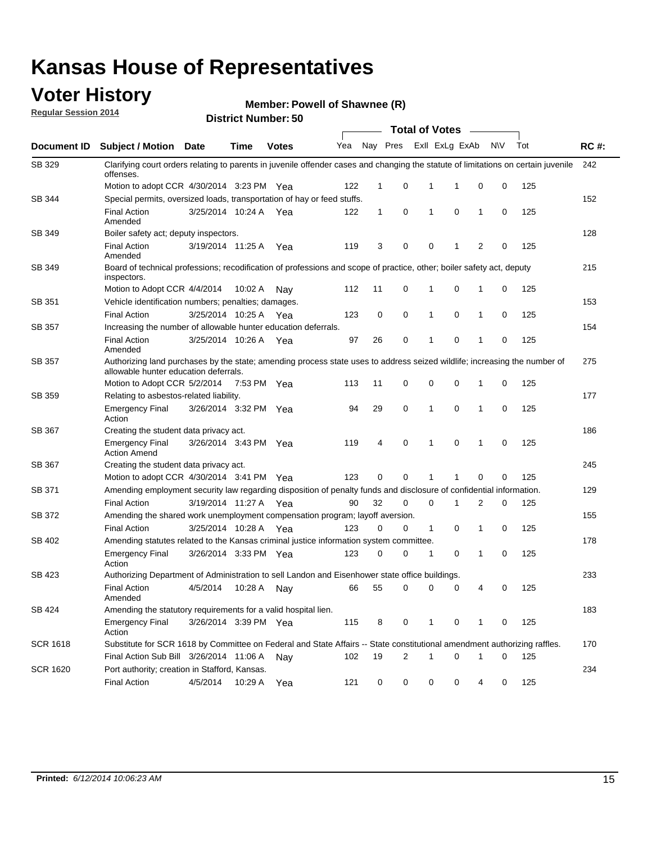### **Voter History**

**Regular Session 2014**

#### **Member: Powell of Shawnee (R)**

|                    |                                                                                                                                                                    |                       |             | <b>DISUILLINUIIIIDEI.JU</b> |     |              |                |              | <b>Total of Votes</b> |              |           |     |             |  |  |  |  |  |  |  |
|--------------------|--------------------------------------------------------------------------------------------------------------------------------------------------------------------|-----------------------|-------------|-----------------------------|-----|--------------|----------------|--------------|-----------------------|--------------|-----------|-----|-------------|--|--|--|--|--|--|--|
| <b>Document ID</b> | <b>Subject / Motion Date</b>                                                                                                                                       |                       | <b>Time</b> | <b>Votes</b>                | Yea |              | Nay Pres       |              | ExII ExLg ExAb        |              | <b>NV</b> | Tot | <b>RC#:</b> |  |  |  |  |  |  |  |
| SB 329             | Clarifying court orders relating to parents in juvenile offender cases and changing the statute of limitations on certain juvenile<br>offenses.                    |                       |             |                             |     |              |                |              |                       |              |           |     | 242         |  |  |  |  |  |  |  |
|                    | Motion to adopt CCR 4/30/2014 3:23 PM Yea                                                                                                                          |                       |             |                             | 122 | 1            | 0              | 1            | -1                    | 0            | 0         | 125 |             |  |  |  |  |  |  |  |
| SB 344             | Special permits, oversized loads, transportation of hay or feed stuffs.                                                                                            |                       |             |                             |     |              |                |              |                       |              |           |     | 152         |  |  |  |  |  |  |  |
|                    | <b>Final Action</b><br>Amended                                                                                                                                     | 3/25/2014 10:24 A     |             | Yea                         | 122 | $\mathbf{1}$ | 0              | 1            | $\mathbf 0$           | 1            | 0         | 125 |             |  |  |  |  |  |  |  |
| SB 349             | Boiler safety act; deputy inspectors.                                                                                                                              |                       |             |                             |     |              |                |              |                       |              |           |     | 128         |  |  |  |  |  |  |  |
|                    | <b>Final Action</b><br>Amended                                                                                                                                     | 3/19/2014 11:25 A     |             | Yea                         | 119 | 3            | 0              | $\mathbf 0$  | -1                    | 2            | 0         | 125 |             |  |  |  |  |  |  |  |
| SB 349             | Board of technical professions; recodification of professions and scope of practice, other; boiler safety act, deputy<br>inspectors.                               |                       |             |                             |     |              |                |              |                       |              |           |     |             |  |  |  |  |  |  |  |
|                    | Motion to Adopt CCR 4/4/2014                                                                                                                                       |                       | 10:02 A     | Nav                         | 112 | 11           | 0              | 1            | 0                     | 1            | 0         | 125 |             |  |  |  |  |  |  |  |
| SB 351             | Vehicle identification numbers; penalties; damages.                                                                                                                |                       |             |                             |     |              |                |              |                       |              |           |     | 153         |  |  |  |  |  |  |  |
|                    | <b>Final Action</b>                                                                                                                                                | 3/25/2014 10:25 A     |             | Yea                         | 123 | 0            | 0              | 1            | 0                     | 1            | 0         | 125 |             |  |  |  |  |  |  |  |
| SB 357             | Increasing the number of allowable hunter education deferrals.                                                                                                     |                       |             |                             |     |              |                |              |                       |              |           |     | 154         |  |  |  |  |  |  |  |
|                    | <b>Final Action</b><br>Amended                                                                                                                                     | 3/25/2014 10:26 A     |             | Yea                         | 97  | 26           | 0              | 1            | 0                     | 1            | 0         | 125 |             |  |  |  |  |  |  |  |
| SB 357             | Authorizing land purchases by the state; amending process state uses to address seized wildlife; increasing the number of<br>allowable hunter education deferrals. |                       |             |                             |     |              |                |              |                       |              |           |     | 275         |  |  |  |  |  |  |  |
|                    | Motion to Adopt CCR 5/2/2014                                                                                                                                       |                       | 7:53 PM Yea |                             | 113 | 11           | 0              | $\mathbf 0$  | 0                     | 1            | 0         | 125 |             |  |  |  |  |  |  |  |
| SB 359             | Relating to asbestos-related liability.                                                                                                                            |                       |             |                             |     |              |                |              |                       |              |           | 177 |             |  |  |  |  |  |  |  |
|                    | <b>Emergency Final</b><br>Action                                                                                                                                   | 3/26/2014 3:32 PM Yea |             |                             | 94  | 29           | 0              | $\mathbf{1}$ | 0                     | 1            | 0         | 125 |             |  |  |  |  |  |  |  |
| SB 367             | Creating the student data privacy act.                                                                                                                             |                       |             |                             |     |              |                |              |                       |              |           |     | 186         |  |  |  |  |  |  |  |
|                    | <b>Emergency Final</b><br><b>Action Amend</b>                                                                                                                      | 3/26/2014 3:43 PM Yea |             |                             | 119 | 4            | $\mathbf 0$    | $\mathbf{1}$ | 0                     | $\mathbf{1}$ | 0         | 125 |             |  |  |  |  |  |  |  |
| SB 367             | Creating the student data privacy act.                                                                                                                             |                       |             |                             |     |              |                |              |                       |              |           |     | 245         |  |  |  |  |  |  |  |
|                    | Motion to adopt CCR 4/30/2014 3:41 PM Yea                                                                                                                          |                       |             |                             | 123 | 0            | 0              | 1            | 1                     | 0            | 0         | 125 |             |  |  |  |  |  |  |  |
| SB 371             | Amending employment security law regarding disposition of penalty funds and disclosure of confidential information.                                                |                       |             |                             |     |              |                |              |                       |              |           |     | 129         |  |  |  |  |  |  |  |
|                    | <b>Final Action</b>                                                                                                                                                | 3/19/2014 11:27 A     |             | Yea                         | 90  | 32           | 0              | $\mathbf 0$  | -1                    | 2            | 0         | 125 |             |  |  |  |  |  |  |  |
| SB 372             | Amending the shared work unemployment compensation program; layoff aversion.                                                                                       |                       |             |                             |     |              |                |              |                       |              |           |     | 155         |  |  |  |  |  |  |  |
|                    | <b>Final Action</b>                                                                                                                                                | 3/25/2014 10:28 A     |             | Yea                         | 123 | $\mathbf 0$  | 0              | $\mathbf{1}$ | 0                     | 1            | 0         | 125 |             |  |  |  |  |  |  |  |
| SB 402             | Amending statutes related to the Kansas criminal justice information system committee.                                                                             |                       |             |                             |     |              |                |              |                       |              |           |     | 178         |  |  |  |  |  |  |  |
|                    | <b>Emergency Final</b><br>Action                                                                                                                                   | 3/26/2014 3:33 PM Yea |             |                             | 123 | 0            | 0              | 1            | 0                     | 1            | 0         | 125 |             |  |  |  |  |  |  |  |
| SB 423             | Authorizing Department of Administration to sell Landon and Eisenhower state office buildings.                                                                     |                       |             |                             |     |              |                |              |                       |              |           |     | 233         |  |  |  |  |  |  |  |
|                    | <b>Final Action</b><br>Amended                                                                                                                                     | 4/5/2014              | 10:28 A     | Nay                         | 66  | 55           | 0              |              | 0<br>0                | 4            | 0         | 125 |             |  |  |  |  |  |  |  |
| SB 424             | Amending the statutory requirements for a valid hospital lien.                                                                                                     |                       |             |                             |     |              |                |              |                       |              |           |     | 183         |  |  |  |  |  |  |  |
|                    | <b>Emergency Final</b><br>Action                                                                                                                                   | 3/26/2014 3:39 PM Yea |             |                             | 115 | 8            | 0              | 1            | 0                     | $\mathbf{1}$ | 0         | 125 |             |  |  |  |  |  |  |  |
| <b>SCR 1618</b>    | Substitute for SCR 1618 by Committee on Federal and State Affairs -- State constitutional amendment authorizing raffles.                                           |                       |             |                             |     |              |                |              |                       |              |           |     | 170         |  |  |  |  |  |  |  |
|                    | Final Action Sub Bill 3/26/2014 11:06 A                                                                                                                            |                       |             | Nav                         | 102 | 19           | $\overline{2}$ | 1            | 0                     | 1            | 0         | 125 |             |  |  |  |  |  |  |  |
| <b>SCR 1620</b>    | Port authority; creation in Stafford, Kansas.                                                                                                                      |                       |             |                             |     |              |                |              |                       |              |           |     | 234         |  |  |  |  |  |  |  |
|                    | <b>Final Action</b>                                                                                                                                                | 4/5/2014              | 10:29 A     | Yea                         | 121 | 0            | 0              |              | 0<br>0                | 4            | 0         | 125 |             |  |  |  |  |  |  |  |